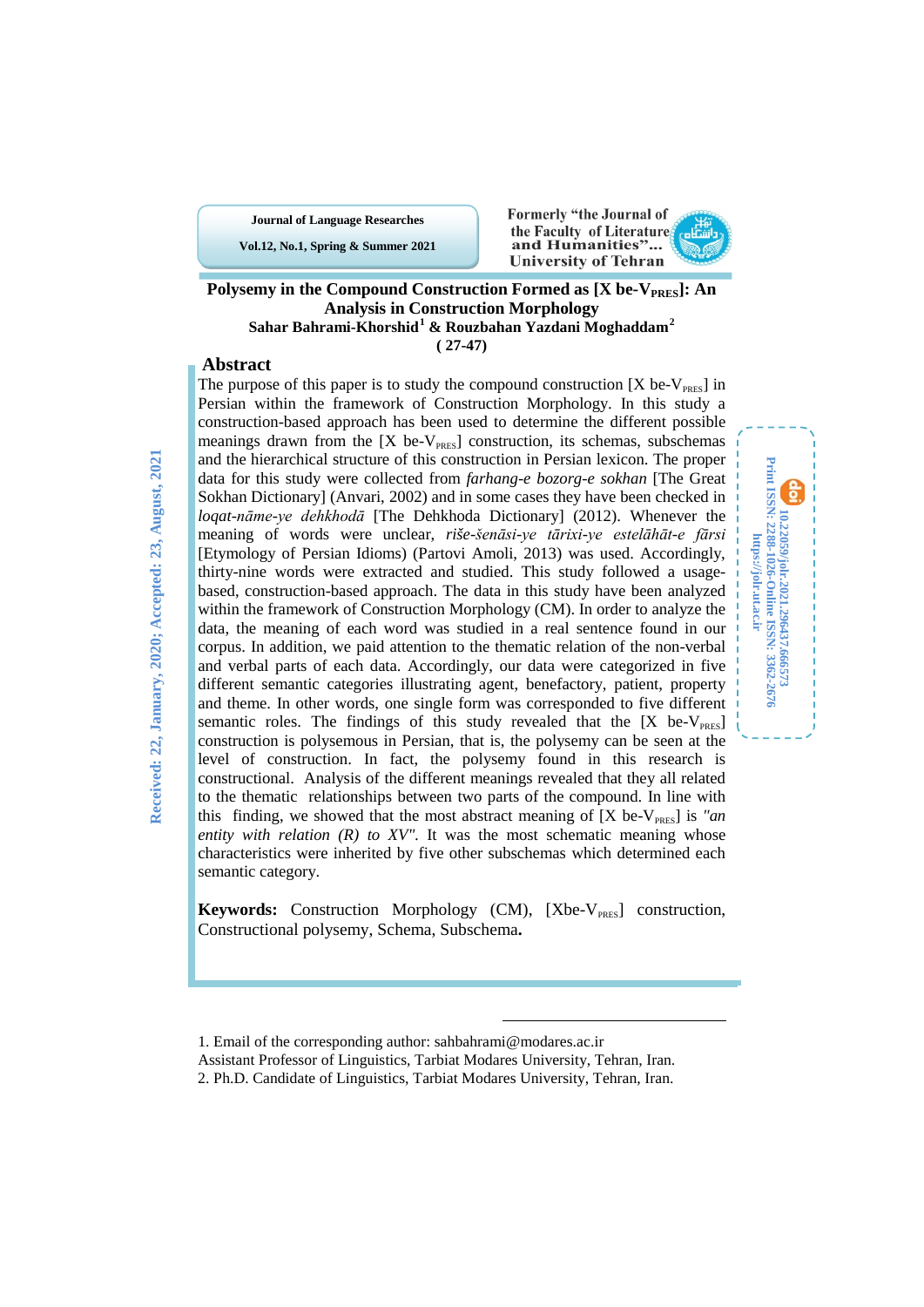**Journal of Language Researches Vol.12, No.1, Spring & Summer 2021**





**10.22059/jolr.2021.296437.666573 Print ISSN: 2288-1026-Online ISSN: 3362-2676 https://jolr.ut.ac.ir**

10,22059/joh.2021.29437.666573<br>Print ISSN: 2288-1026-Online ISSN: 3362-2676<br>https://joh.ut.ac.ir

### **Polysemy in the Compound Construction Formed as [X be-V<sub>PRES</sub>]: An Analysis in Construction Morphology Sahar Bahrami-Khorshid[1](#page-0-0) & Rouzbahan Yazdani Moghaddam[2](#page-0-1) ( 27-47)**

## **Abstract**

The purpose of this paper is to study the compound construction  $[X \text{ be-}V_{\text{PRES}}]$  in Persian within the framework of Construction Morphology. In this study a construction-based approach has been used to determine the different possible meanings drawn from the  $[X$  be- $V_{PRES}]$  construction, its schemas, subschemas and the hierarchical structure of this construction in Persian lexicon. The proper data for this study were collected from *farhang-e bozorg-e sokhan* [The Great Sokhan Dictionary] (Anvari, 2002) and in some cases they have been checked in *loqat-nāme-ye dehkhodā* [The Dehkhoda Dictionary] (2012). Whenever the meaning of words were unclear, *riše-šenāsi-ye tārixi-ye estelāhāt-e fārsi* [Etymology of Persian Idioms) (Partovi Amoli, 2013) was used. Accordingly, thirty-nine words were extracted and studied. This study followed a usagebased, construction-based approach. The data in this study have been analyzed within the framework of Construction Morphology (CM). In order to analyze the data, the meaning of each word was studied in a real sentence found in our corpus. In addition, we paid attention to the thematic relation of the non-verbal and verbal parts of each data. Accordingly, our data were categorized in five different semantic categories illustrating agent, benefactory, patient, property and theme. In other words, one single form was corresponded to five different semantic roles. The findings of this study revealed that the  $[X \text{ be-}V_{\text{PRES}}]$ construction is polysemous in Persian, that is, the polysemy can be seen at the level of construction. In fact, the polysemy found in this research is constructional. Analysis of the different meanings revealed that they all related to the thematic relationships between two parts of the compound. In line with this finding, we showed that the most abstract meaning of  $[X \text{ be-}V_{\text{PRES}}]$  is *"an entity with relation (R) to XV".* It was the most schematic meaning whose characteristics were inherited by five other subschemas which determined each semantic category.

**Keywords:** Construction Morphology (CM), [Xbe-V<sub>PRES</sub>] construction, Constructional polysemy, Schema, Subschema**.**

<sup>1.</sup> Email of the corresponding author: sahbahrami@modares.ac.ir

<span id="page-0-0"></span>Assistant Professor of Linguistics, Tarbiat Modares University, Tehran, Iran.

<span id="page-0-1"></span><sup>2.</sup> Ph.D. Candidate of Linguistics, Tarbiat Modares University, Tehran, Iran.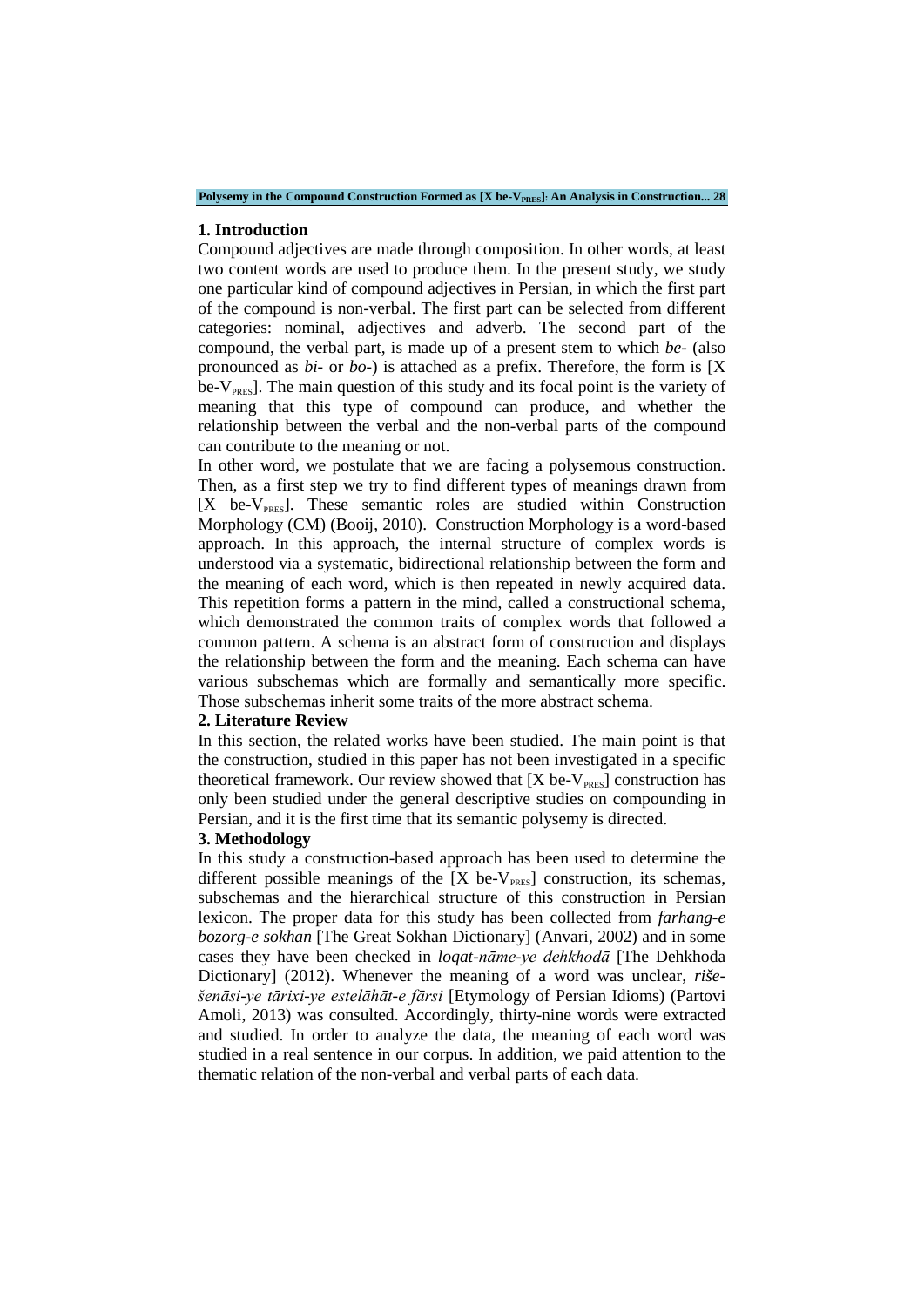Polysemy in the Compound Construction Formed as [X be-V<sub>PRES</sub>]: An Analysis in Construction... 28

### **1. Introduction**

Compound adjectives are made through composition. In other words, at least two content words are used to produce them. In the present study, we study one particular kind of compound adjectives in Persian, in which the first part of the compound is non-verbal. The first part can be selected from different categories: nominal, adjectives and adverb. The second part of the compound, the verbal part, is made up of a present stem to which *be-* (also pronounced as *bi-* or *bo-*) is attached as a prefix. Therefore, the form is [X  $be-V<sub>PRES</sub>$ . The main question of this study and its focal point is the variety of meaning that this type of compound can produce, and whether the relationship between the verbal and the non-verbal parts of the compound can contribute to the meaning or not.

In other word, we postulate that we are facing a polysemous construction. Then, as a first step we try to find different types of meanings drawn from  $[X$  be- $V_{PRES}$ ]. These semantic roles are studied within Construction Morphology (CM) (Booij, 2010). Construction Morphology is a word-based approach. In this approach, the internal structure of complex words is understood via a systematic, bidirectional relationship between the form and the meaning of each word, which is then repeated in newly acquired data. This repetition forms a pattern in the mind, called a constructional schema, which demonstrated the common traits of complex words that followed a common pattern. A schema is an abstract form of construction and displays the relationship between the form and the meaning. Each schema can have various subschemas which are formally and semantically more specific. Those subschemas inherit some traits of the more abstract schema.

### **2. Literature Review**

In this section, the related works have been studied. The main point is that the construction, studied in this paper has not been investigated in a specific theoretical framework. Our review showed that  $[X$  be- $V_{PRES}$ ] construction has only been studied under the general descriptive studies on compounding in Persian, and it is the first time that its semantic polysemy is directed.

#### **3. Methodology**

In this study a construction-based approach has been used to determine the different possible meanings of the  $[X \text{ be-}V_{\text{PRFS}}]$  construction, its schemas, subschemas and the hierarchical structure of this construction in Persian lexicon. The proper data for this study has been collected from *farhang-e bozorg-e sokhan* [The Great Sokhan Dictionary] (Anvari, 2002) and in some cases they have been checked in *loqat-nāme-ye dehkhodā* [The Dehkhoda Dictionary] (2012). Whenever the meaning of a word was unclear, *rišešenāsi-ye tārixi-ye estelāhāt-e fārsi* [Etymology of Persian Idioms) (Partovi Amoli, 2013) was consulted. Accordingly, thirty-nine words were extracted and studied. In order to analyze the data, the meaning of each word was studied in a real sentence in our corpus. In addition, we paid attention to the thematic relation of the non-verbal and verbal parts of each data.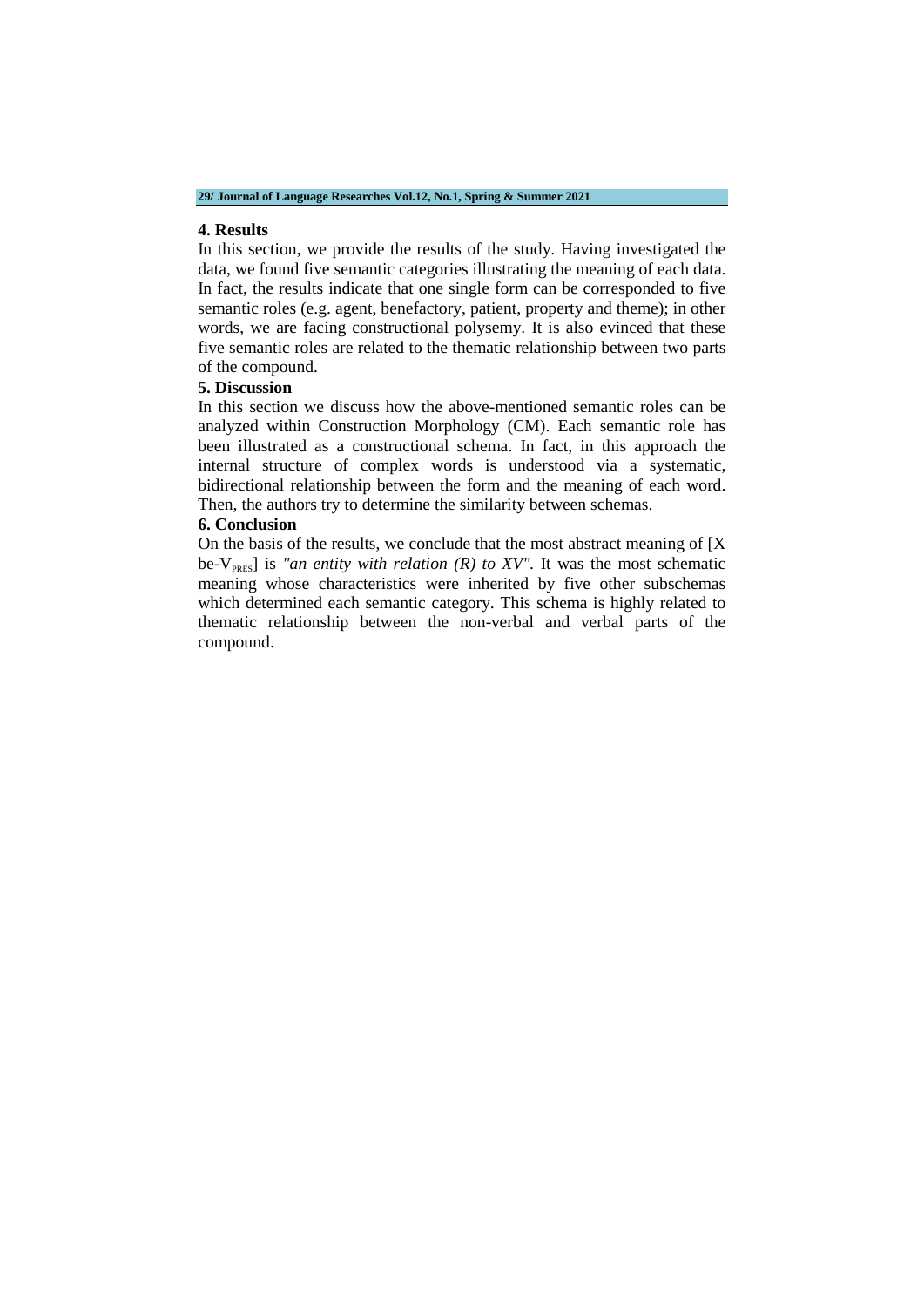#### **4. Results**

In this section, we provide the results of the study. Having investigated the data, we found five semantic categories illustrating the meaning of each data. In fact, the results indicate that one single form can be corresponded to five semantic roles (e.g. agent, benefactory, patient, property and theme); in other words, we are facing constructional polysemy. It is also evinced that these five semantic roles are related to the thematic relationship between two parts of the compound.

#### **5. Discussion**

In this section we discuss how the above-mentioned semantic roles can be analyzed within Construction Morphology (CM). Each semantic role has been illustrated as a constructional schema. In fact, in this approach the internal structure of complex words is understood via a systematic, bidirectional relationship between the form and the meaning of each word. Then, the authors try to determine the similarity between schemas.

#### **6. Conclusion**

On the basis of the results, we conclude that the most abstract meaning of [X be-V<sub>PRES</sub>] is *"an entity with relation (R) to XV"*. It was the most schematic meaning whose characteristics were inherited by five other subschemas which determined each semantic category. This schema is highly related to thematic relationship between the non-verbal and verbal parts of the compound.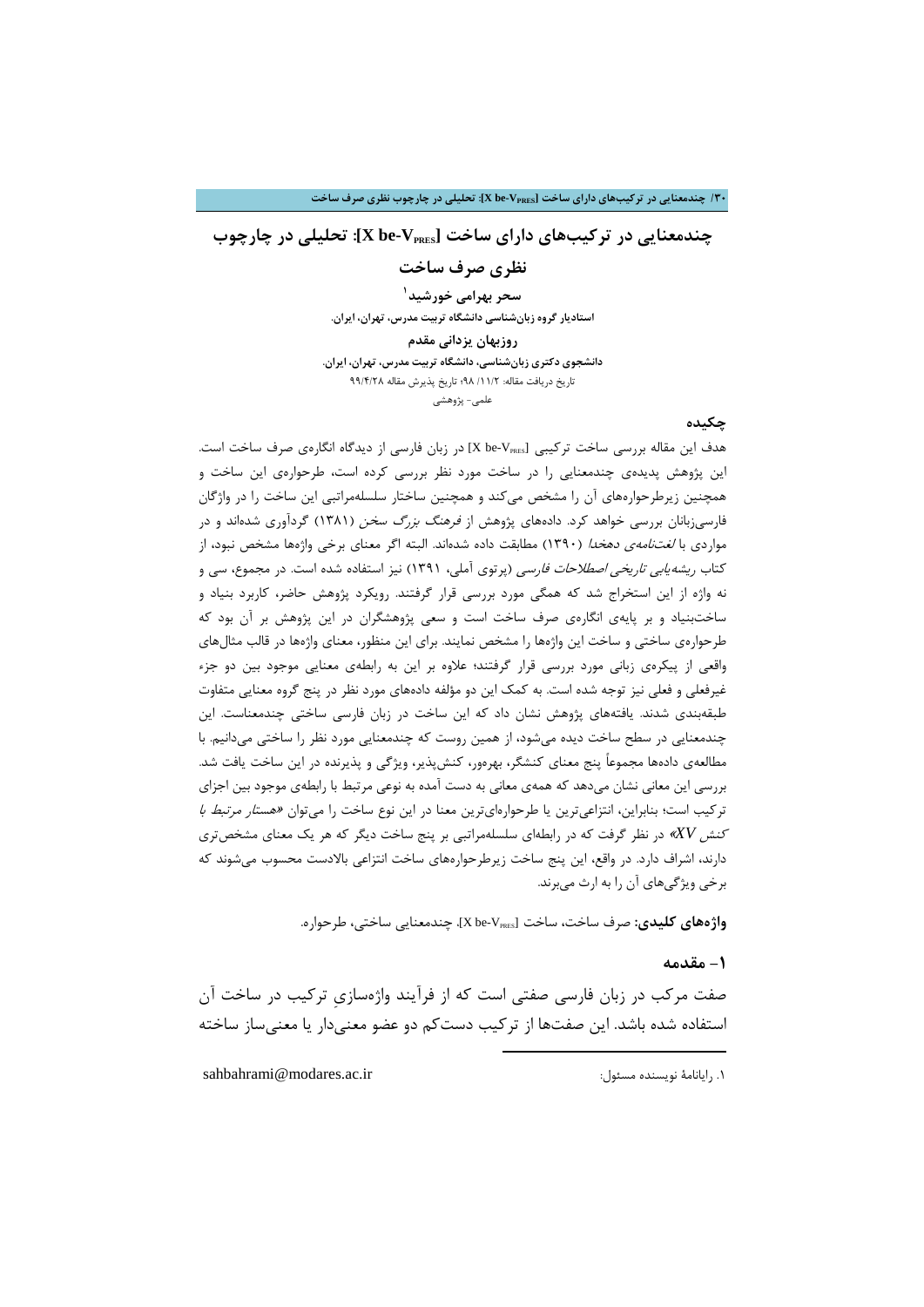## **چندمعنایی در ترکیبهاي داراي ساخت [VPRES-be X[: تحلیلی در چارچوب**

**نظري صرف ساخت**

**1 سحر بهرامی خورشید استادیار گروه زبانشناسی دانشگاه تربیت مدرس، تهران، ایران.**

**روزبهان یزدانی مقدم دانشجوي دکتري زبانشناسی، دانشگاه تربیت مدرس، تهران، ایران.** تاریخ دریافت مقاله: /11/2 98؛ تاریخ پذیرش مقاله 99/4/28 [علمی](#page-3-0)- پژوهشی

### **چکیده**

هدف این مقاله بررسی ساخت ترکیبی [X be-V $_{\tt PRES}$  در زبان فارسی از دیدگاه انگارهی صرف ساخت است. این پژوهش پدیدهي چندمعنایی را در ساخت مورد نظر بررسی کرده است، طرحوارهي این ساخت و همچنین زیرطرحوارههاي آن را مشخص میکند و همچنین ساختار سلسلهمراتبی این ساخت را در واژگان فارسیزبانان بررسی خواهد کرد. دادههاي پژوهش از فرهنگ بزرگ سخن (1381) گردآوري شدهاند و در مواردی با *لغتنامهی دهخدا* (۱۳۹۰) مطابقت داده شدهاند. البته اگر معنای برخی واژهها مشخص نبود<mark>، ا</mark>ز کتاب ریشهیابی تاریخی اصطلاحات فارسی (پرتوي آملی، 1391) نیز استفاده شده است. در مجموع، سی و نه واژه از این استخراج شد که همگی مورد بررسی قرار گرفتند. رویکرد پژوهش حاضر، کاربرد بنیاد و ساختبنیاد و بر پایهي انگارهي صرف ساخت است و سعی پژوهشگران در این پژوهش بر آن بود که طرحوارهي ساختی و ساخت این واژهها را مشخص نمایند. براي این منظور، معناي واژهها در قالب مثالهاي واقعی از پیکرهي زبانی مورد بررسی قرار گرفتند؛ علاوه بر این به رابطهي معنایی موجود بین دو جزء غیرفعلی و فعلی نیز توجه شده است. به کمک این دو مؤلفه دادههاي مورد نظر در پنج گروه معنایی متفاوت طبقهبندي شدند. یافتههاي پژوهش نشان داد که این ساخت در زبان فارسی ساختی چندمعناست. این چندمعنایی در سطح ساخت دیده میشود، از همین روست که چندمعنایی مورد نظر را ساختی میدانیم. با مطالعهي دادهها مجموعاً پنج معناي کنشگر، بهرهور، کنشپذیر، ویژگی و پذیرنده در این ساخت یافت شد. بررسی این معانی نشان میدهد که همهي معانی به دست آمده به نوعی مرتبط با رابطهي موجود بین اجزاي ترکیب است؛ بنابراین، انتزاعیترین یا طرحوارهایترین معنا در این نوع ساخت را میتوان «هست*ار مرتبط با* کنش *XV* «در نظر گرفت که در رابطهاي سلسلهمراتبی بر پنج ساخت دیگر که هر یک معناي مشخصتري دارند، اشراف دارد. در واقع، این پنج ساخت زیرطرحوارههاي ساخت انتزاعی بالادست محسوب میشوند که برخی ویژگیهاي آن را به ارث میبرند.

**واژههاي کلیدي:** صرف ساخت، ساخت [VPRES-be X[، چندمعنایی ساختی، طرحواره.

-

### **-1 مقدمه**

صفت مرکب در زبان فارسی صفتی است که از فرآیند واژهسازيِ ترکیب در ساخت آن استفاده شده باشد. این صفتها از ترکیب دستکم دو عضو معنیدار یا معنیساز ساخته

<span id="page-3-0"></span>sahbahrami@modares.ac.ir :مسئول نویسنده رایانامۀ .1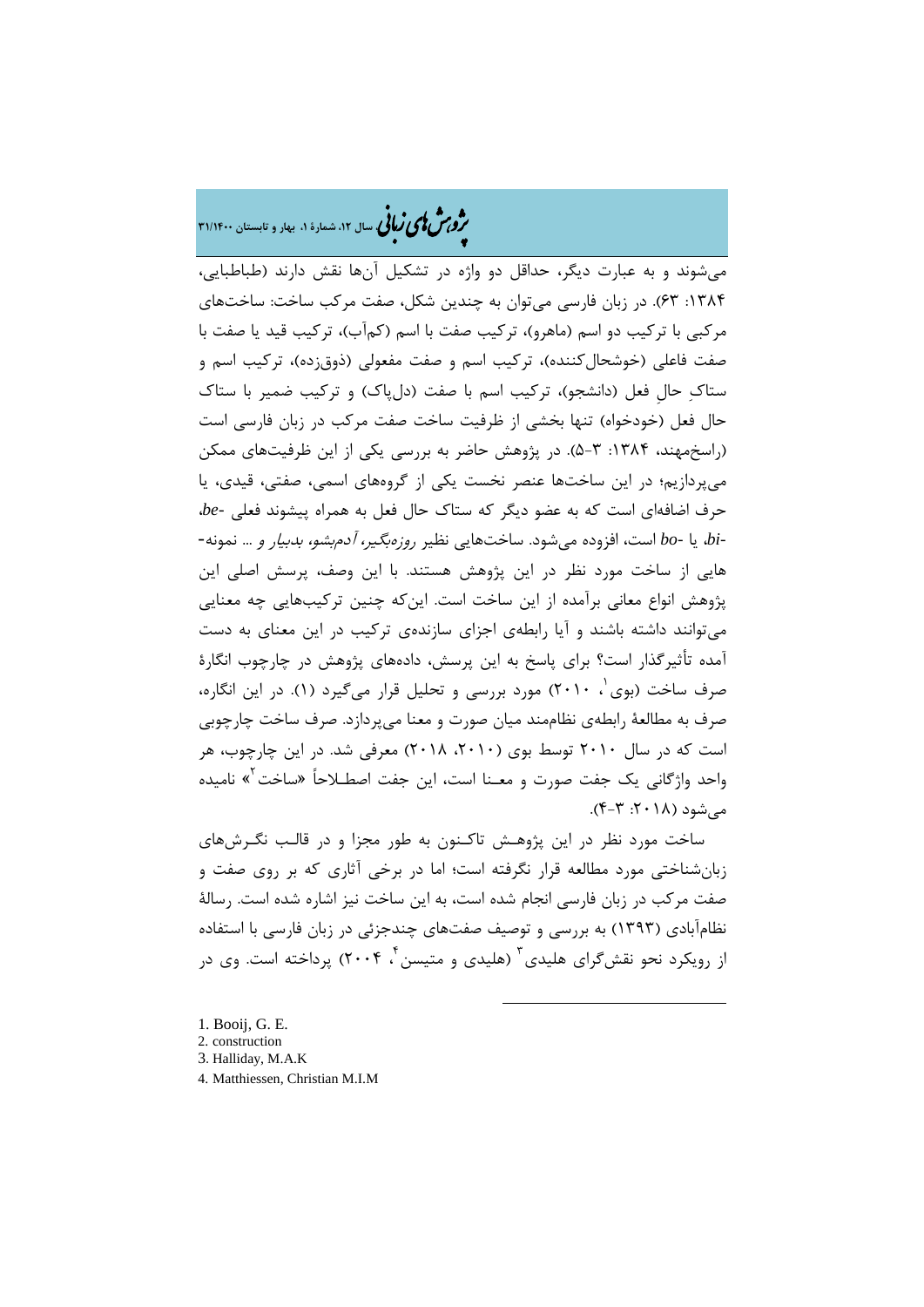# �ی زبا **، سال ،12 شمارة ،1 بهار و تابستان 31/1400** � �و ی �ش

میشوند و به عبارت دیگر، حداقل دو واژه در تشکیل آنها نقش دارند (طباطبایی، :1384 63). در زبان فارسی میتوان به چندین شکل، صفت مرکب ساخت: ساختهاي مرکبی با ترکیب دو اسم (ماهرو)، ترکیب صفت با اسم (کمآب)، ترکیب قید یا صفت با صفت فاعلی (خوشحالکننده)، ترکیب اسم و صفت مفعولی (ذوقزده)، ترکیب اسم و ستاك حالِ فعل (دانشجو)، ترکیب اسم با صفت (دلپاك) و ترکیب ضمیر با ستاك حال فعل (خودخواه) تنها بخشی از ظرفیت ساخت صفت مرکب در زبان فارسی است (راسخمهند، ۱۳۸۴: ۳-۵). در پژوهش حاضر به بررسی یکی از این ظرفیتهای ممکن میپردازیم؛ در این ساختها عنصر نخست یکی از گروههاي اسمی، صفتی، قیدي، یا حرف اضافهاي است که به عضو دیگر که ستاك حال فعل به همراه پیشوند فعلی *-be*، *-bi*، یا *-bo* است، افزوده میشود. ساختهایی نظیر روزهبگیر، آدمبشو، بدبیار و ... نمونه- هایی از ساخت مورد نظر در این پژوهش هستند. با این وصف، پرسش اصلی این پژوهش انواع معانی برآمده از این ساخت است. اینکه چنین ترکیبهایی چه معنایی میتوانند داشته باشند و آیا رابطهي اجزاي سازندهي ترکیب در این معناي به دست آمده تأثیرگذار است؟ براي پاسخ به این پرسش، دادههاي پژوهش در چارچوب انگارة صرف ساخت (بوی ۲۰۱۰) مورد بررسی و تحلیل قرار میگیرد (۱). در این انگاره، صرف به مطالعۀ رابطهي نظاممند میان صورت و معنا میپردازد. صرف ساخت چارچوبی است که در سال 2010 توسط بوي (،2010 2018) معرفی شد. در این چارچوب، هر واحد واژگانی یک جفت صورت و معـنا است، این جفت اصطـلاحاً «ساخت<sup>۲</sup>» نامیده  $(-2.7 \cdot 7 \cdot 7)$ . هے شود (١٨-٢: ٣-ع)

ساخت مورد نظر در این پژوه[ـش](#page-4-1) تاکـنون به طور مجزا و در قالـب نگـرشهاي زبانشناختی مورد مطالعه قرار نگرفته است؛ اما در برخی آثاري که بر روي صفت و صفت مرکب در زبان فارسی انجام شده است، به این ساخت نیز اشاره شده است. رسالۀ نظامآبادي (1393) به بررسی و توصیف صفتهاي چندجزئی در زبان فارسی با استفاده از رویکرد نحو نقش گرای هلیدی <sup>۳</sup> (هلیدی و متیسن <sup>۲</sup> ۲۰۰۴) پرداخته است. وی در

- <span id="page-4-0"></span>[1.](#page-4-3) Booij, G. E.
- <span id="page-4-1"></span>2. construction
- <span id="page-4-2"></span>3. Halliday, M.A.K
- <span id="page-4-3"></span>4. Matthiessen, Christian M.I.M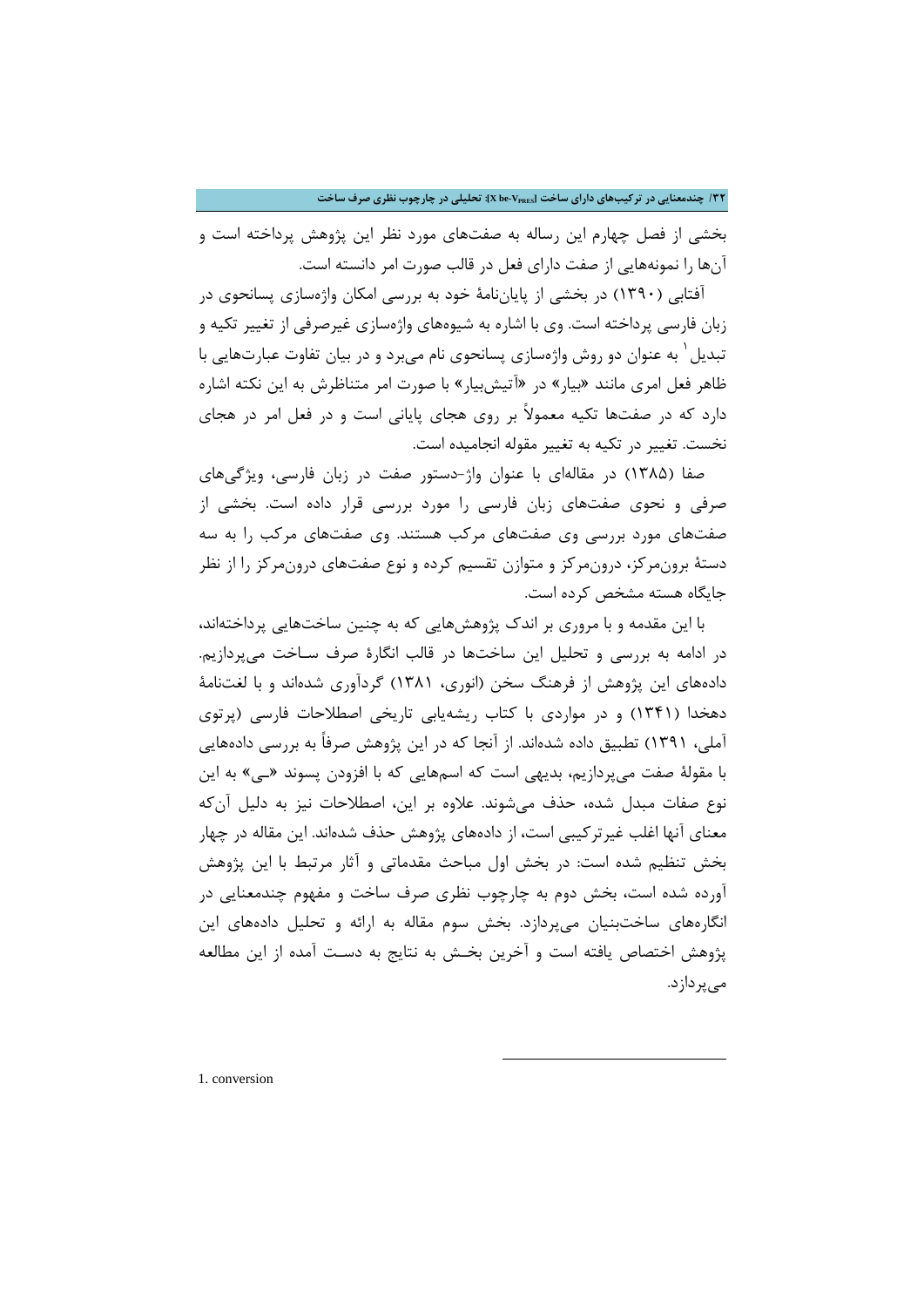**/32 چندمعنایی در ترکیبهاي داراي ساخت [VPRES-be X[: تحلیلی در چارچوب نظري صرف ساخت**

بخشی از فصل چهارم این رساله به صفتهاي مورد نظر این پژوهش پرداخته است و آنها را نمونههایی از صفت داراي فعل در قالب صورت امر دانسته است.

آفتابی (1390) در بخشی از پایاننامۀ خود به بررسی امکان واژهسازي پسانحوي در زبان فارسی پرداخته است. وي با اشاره به شیوههاي واژهسازي غیرصرفی از تغییر تکیه و تبدیل ٰ به عنوان دو روش واژهسازی پسانحوی نام میبرد و در بیان تفاوت عبارتهایی با ظاهر فعل امري مانند «بیار» در «آتیشبیار» با صورت امر متناظرش به این نکته اشاره دارد که در صفتها تکیه معمولاً بر روي هجاي پایانی است و در فعل امر در هجاي نخست. تغییر در تکیه به تغییر مقوله انجامیده است.

صفا (1385) در مقالهاي با عنوان واژ-دستور صفت در زبان فارسی، ویژگیهاي صرفی و نحوي صفتهاي زبان فارسی را مورد بررسی قرار داده است. بخشی از صفتهاي مورد بررسی وي صفتهاي مرکب هستند. وي صفتهاي مرکب را به سه دستۀ برونمرکز، درونمرکز و متوازن تقسیم کرده و نوع صفتهاي درونمرکز را از نظر جایگاه هسته مشخص کرده است.

با این مقدمه و با مروري بر اندك پژوهشهایی که به چنین ساختهایی پرداختهاند، در ادامه به بررسی و تحلیل این ساختها در قالب انگارة صرف سـاخت میپردازیم. دادههاي این پژوهش از فرهنگ سخن (انوري، 1381) گردآوري شدهاند و با لغتنامۀ دهخدا (1341) و در مواردي با کتاب ریشهیابی تاریخی اصطلاحات فارسی (پرتوي آملی، 1391) تطبیق داده شدهاند. از آنجا که در این پژوهش صرفاً به بررسی دادههایی با مقولۀ صفت میپردازیم، بدیهی است که اسمهایی که با افزودن پسوند «ـی» به این نوع صفات مبدل شده، حذف میشوند. علاوه بر این، اصطلاحات نیز به دلیل آنکه معناي آنها اغلب غیرترکیبی است، از دادههاي پژوهش حذف شدهاند. این مقاله در چهار بخش تنظیم شده است: در بخش اول مباحث مقدماتی و آثار مرتبط با این پژوهش آورده شده است، بخش دوم به چارچوب نظري صرف ساخت و مفهوم چندمعنایی در انگارههاي ساختبنیان میپردازد. بخش سوم مقاله به ارائه و تحلیل دادههاي این پژوهش اختصاص یافته است و آخرین بخـش به نتایج به دسـت آمده از این مطالعه میپردازد.

-

<span id="page-5-0"></span>[1](#page-5-0). conversion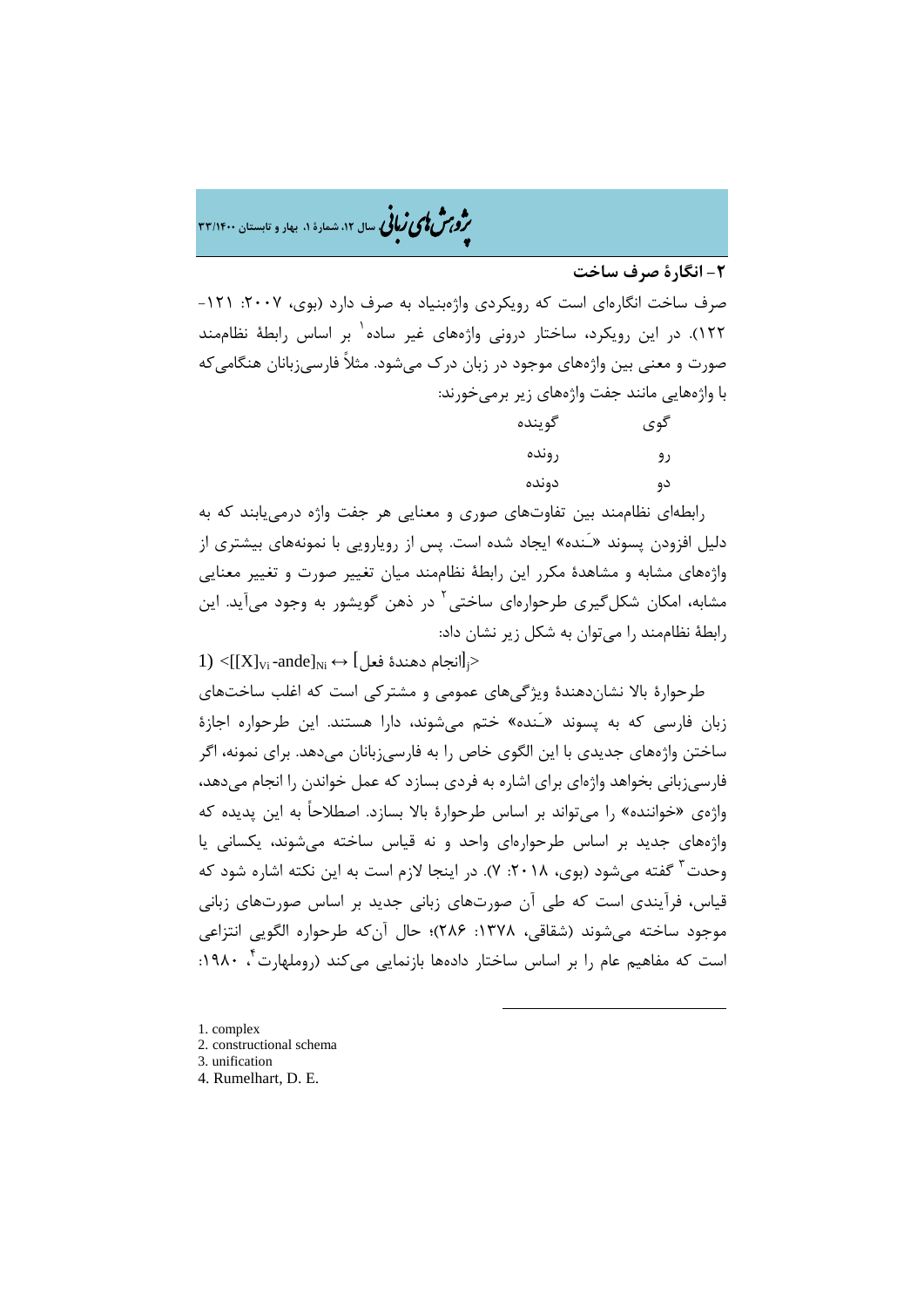�ی زبا **، سال ،12 شمارة ،1 بهار و تابستان 33/1400** � �و ی �ش

**-2 انگارة صرف ساخت**

صرف ساخت انگارهاي است که رويکردي واژهبنياد به صرف دارد (بوي، ٢٠٠٧: ١٢١-1 122). در این رویکرد، ساختار درونی واژههاي غیر ساده بر اساس رابطۀ نظاممند صورت و معنی بین واژههاي موجود در زبان درك میشود. مثلاً فارسیزبانان هنگامیکه با واژههایی مانند جفت واژههاي زیر برمیخورند:

| گوينده | گوي |
|--------|-----|
| رونده  | رو  |
| دونده  | دو  |

رابطهاي نظاممند بین تفاوتهاي صوري و معنایی هر جفت واژه درمییابند که به دلیل افزودن پسوند [«](#page-6-0)ـَنده» ایجاد شده است. پس از رویارویی با نمونههاي بیشتري از واژههاي مشابه و مشاهدة مکرر این رابطۀ نظاممند میان تغییر صورت و تغییر معنایی مشابه، امکان شکل گیری طرحوارهای ساختی<sup>۲</sup> در ذهن گویشور به وجود میآید. این رابطۀ نظاممند را میتوان به شکل زیر نشان داد:

 $1) <$  $1) <$ [[X]<sub>Vi</sub>-ande]<sub>Ni</sub> ↔ [مندة فعل $|$ >

طرحوارة بالا نشاندهندة ویژگیهاي عمومی و مشترکی است که اغلب ساختهاي زبان فارسی که به پسوند «ـَنده» ختم میشوند، دارا هستند. این طرحواره اجازة ساختن واژههاي جدیدي با این الگوي خاص را به فارسیزبانان میدهد. براي نمونه، اگر فارسیزبانی بخواهد واژهاي براي اشاره به فردي بسازد که عمل خواندن را انجام میدهد، واژهي «خواننده» را میتواند بر اساس طرحوارة بالا بسازد. اصطلاحاً به این پدیده که واژههاي جدید بر اساس طرحوارهاي واحد و نه قیاس ساخته میشوند، یکسانی یا وحدت <sup>۳</sup> گفته میشود (بوی، ۲۰۱۸: ۷). در اینجا لازم است به این نکته اشاره شود که قیاس، فرآیندي است که طی آن صورتهاي زبانی جدید بر اساس صورتهاي زبانی موجود ساخته میشوند (شقاقی، :1378 286)؛ حال آنکه طرحواره الگویی انتزاعی است که مفاهیم عام را بر اساس ساختار دادهها بازنمایی میکند (روملهارت<sup>۴</sup>، ۱۹۸۰:

- <span id="page-6-0"></span>[1](#page-6-3). complex
- <span id="page-6-1"></span>2. constructional schema
- <span id="page-6-2"></span>3. unification
- <span id="page-6-3"></span>4. Rumelhart, D. E.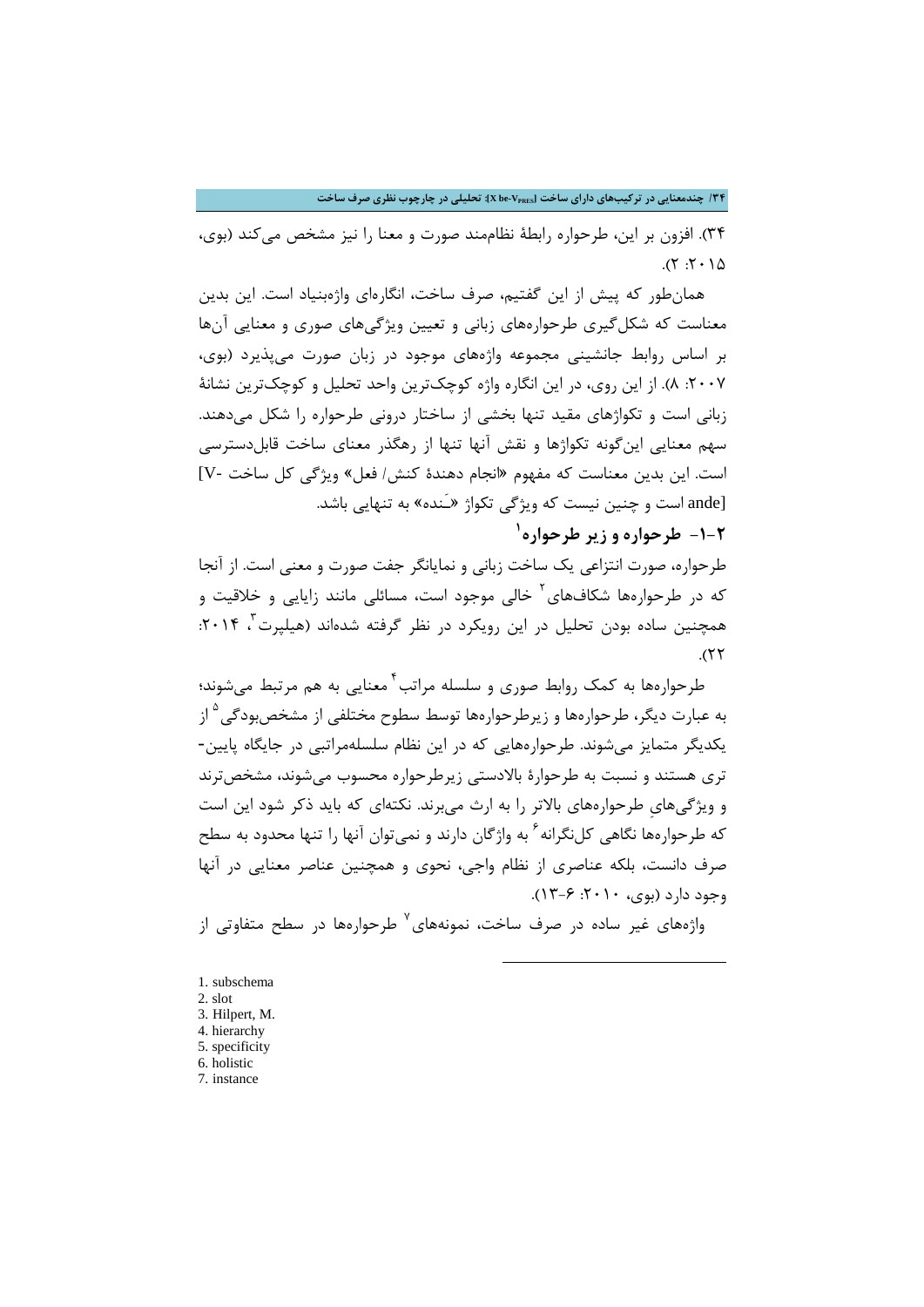**/34 چندمعنایی در ترکیبهاي داراي ساخت [VPRES-be X[: تحلیلی در چارچوب نظري صرف ساخت**

34). افزون بر این، طرحواره رابطۀ نظاممند صورت و معنا را نیز مشخص میکند (بوي،  $0.17:7$ 

همانطور که پیش از این گفتیم، صرف ساخت، انگارهاي واژهبنیاد است. این بدین معناست که شکلگیري طرحوارههاي زبانی و تعیین ویژگیهاي صوري و معنایی آنها بر اساس روابط جانشینی مجموعه واژههاي موجود در زبان صورت میپذیرد (بوي، :2007 8). از این روي، در این انگاره واژه کوچکترین واحد تحلیل و کوچکترین نشانۀ زبانی است و تکواژهاي مقید تنها بخشی از ساختار درونی طرحواره را شکل میدهند. سهم معنایی اینگونه تکواژها و نقش آنها تنها از رهگذر معناي ساخت قابلدسترسی است. این بدین معناست که مفهوم «انجام دهندة کنش/ فعل» ویژگی کل ساخت -V[ [ande است و چنین نیست که ویژگی تکواژ «ـَنده» به تنهایی باشد.

**1 -1-2 طرحواره و زیر طرحواره**

طرحواره، صورت انتزاعی یک ساخت زبانی و نمایانگر جفت صورت و معنی است. از آنجا که در طرحوارهها شکافهای<sup>۲</sup> خالی موجود است، مسائلی مانند زایایی و خلاقیت و همچنین ساده بودن تحلیل در این رویکرد در نظر گرفته شدهاند (هیلپرت ، ۲۰۱۴:  $.$ ( $57$ 

[4](#page-7-2) طرحوارهها به کمک روابط صوري و سلسله مراتب معنایی به هم مرتبط میشوند؛ به عبارت دیگر، طرحوارهها و زیرطرحوارهها توسط سطوح مختلفی از مشخصبودگی<sup>۵</sup> از یکدیگر متمایز میشوند. طرحوارههایی که در این نظام سلسلهمراتبی در جایگاه پایین- تري هستند و نسبت به طرحوارة بالادستی زیرطرحواره محسوب میشوند، مشخصترند و ویژگیهايِ طرحوارههاي بالاتر را به ارث میبرند. نکتهاي که باید ذکر شود این است که طرحوارهها نگاهی کلنگرانه <sup>۷</sup> به واژگان دارند و نمیتوان آنها را تنها محدود به سطح صرف دانست، بلکه عناصري از نظام واجی، نحوي و همچنین عناصر معنایی در آنها  $(17 - 7 \cdot 7 \cdot 1 \cdot 1)$ . 17-8).

واژههای غیر ساده در صرف ساخت، نمونههای<sup>٬</sup> طرحوارهها در سطح متفاوتی از

-

<span id="page-7-0"></span>[1](#page-7-5). subschema

- <span id="page-7-1"></span>2. slot 3. Hilpert, M.
- <span id="page-7-2"></span>4. hierarchy
- <span id="page-7-3"></span>5. specificity
- <span id="page-7-4"></span>6. holistic
- <span id="page-7-5"></span>7. instance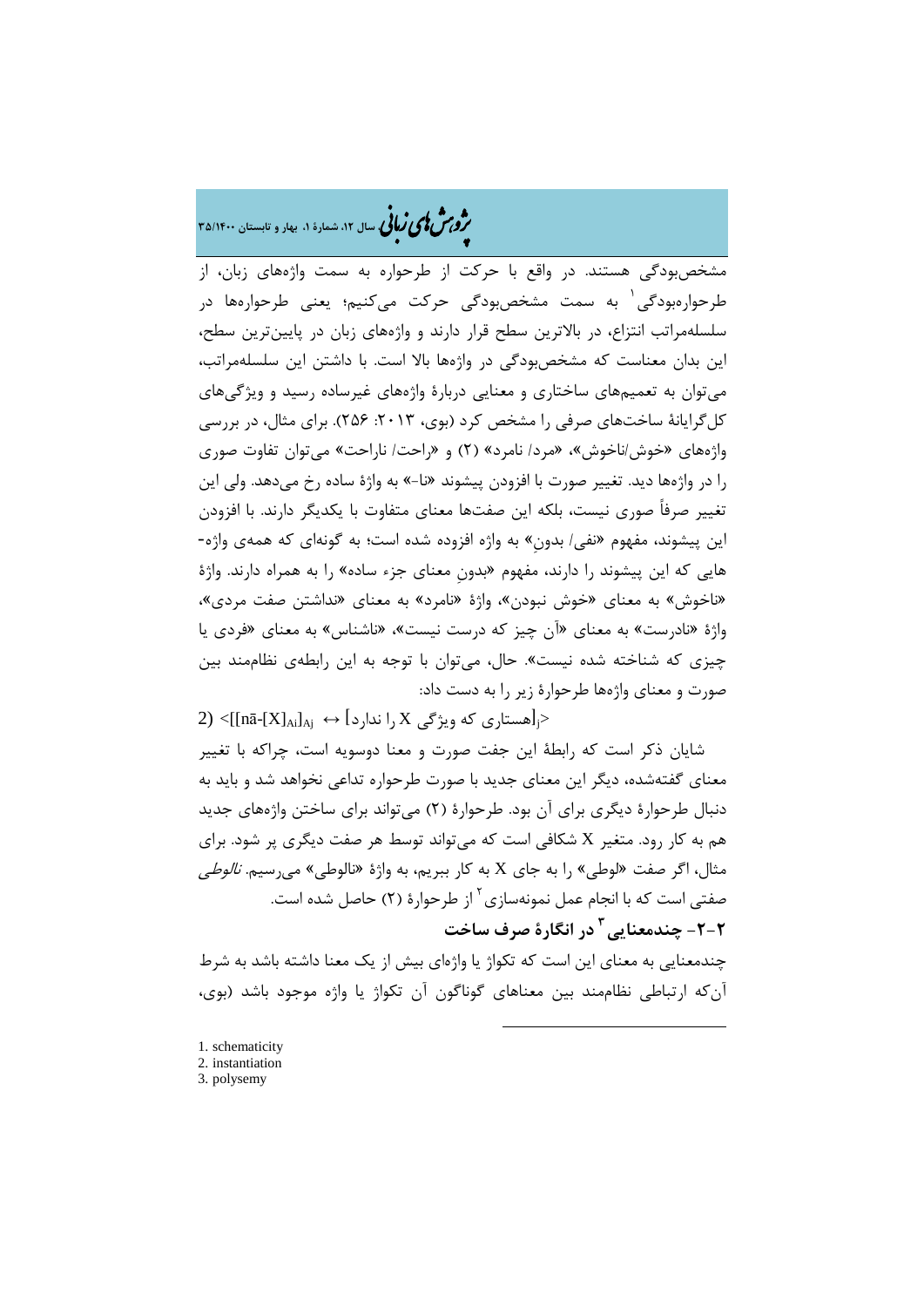# �ی زبا **، سال ،12 شمارة ،1 بهار و تابستان 35/1400** � �و ی �ش

مشخصبودگی هستند. در واقع با حرکت از طرحواره به سمت واژههاي زبان، از طرحوارهبودگی ٰ به سمت مشخصبودگی حرکت میکنیم؛ یعنی طرحوارهها در سلسلهمراتب انتزاع، در بالاترین سطح قرار دارند و واژههاي زبان در پایینترین سطح، این بدان معناست که مشخصبودگی در واژهها بالا است. با داشتن این سلسلهمراتب، میتوان به تعمیمهاي ساختاري و معنایی دربارة واژههاي غیرساده رسید و ویژگیهاي کل گرایانۀ ساختهاي صرفي را مشخص کرد (بوي، ٢٠١٣: ٢۵۶). براي مثال، در بررسي واژههاي «خوش/ناخوش»، «مرد/ نامرد» (2) و «راحت/ ناراحت» میتوان تفاوت صوري را در واژهها دید. تغییر صورت با افزودن پیشوند «نا-» به واژة ساده رخ میدهد. ولی این تغییر صرفاً صوري نیست، بلکه این صفتها معناي متفاوت با یکدیگر دارند. با افزودن این پیشوند، مفهوم «نفی/ بدونِ» به واژه افزوده شده است؛ به گونهاي که همهي واژه- هایی که این پیشوند را دارند، مفهوم «بدونِ معناي جزء ساده» را به همراه دارند. واژة «ناخوش» به معناي «خوش نبودن»، واژة «نامرد» به معناي «نداشتن صفت مردي»، واژة «نادرست» به معناي «آن چیز که درست نیست»، «ناشناس» به معناي «فردي یا چیزي که شناخته شده نیست». حال، میتوان با توجه به این رابطهي نظاممند بین صورت و معناي واژهها طرحوارة زیر را به دست داد:

 $(2) <$  $(2) <$  $(2) <$ [[nā-[X] $_{\rm Ai}\vert_{\rm A}$ زا ندارد  $\rm K$ را ندارد (mā-[X] $_{\rm Ai}\vert_{\rm A}$ شایان ذکر است که رابطۀ این جفت صورت و معنا دوسویه است، چراکه با تغییر معناي گفتهشده، دیگر این معناي جدید با صورت طرحواره تداعی نخواهد شد و باید به دنبال طرحوارة دیگري براي آن بود. طرحوارة (2) میتواند براي ساختن واژههاي جدید هم به کار رود. متغیر X شکافی است که میتواند توسط هر صفت دیگري پر شود. براي مثال، اگر صفت «لوطی» را به جاي X به کار ببریم، به واژة «نالوطی» میرسیم. نالوطی صفتی است که با انجام عمل نمونهسازی <sup>۲</sup> از طرحوارهٔ (۲) حاصل شده است. **در انگارة صرف ساخت <sup>3</sup> -2-[2](#page-8-1) چندمعنایی**

چندمعنایی به معناي این است که تکواژ یا واژهاي بیش از یک معنا داشته باشد به شرط آنکه ارتباطی نظاممند بین معناهاي گوناگون آن تکواژ یا واژه موجود باشد (بوي،

-

<span id="page-8-0"></span>[1](#page-8-2). schematicity

<span id="page-8-1"></span><sup>2.</sup> instantiation

<span id="page-8-2"></span><sup>3.</sup> polysemy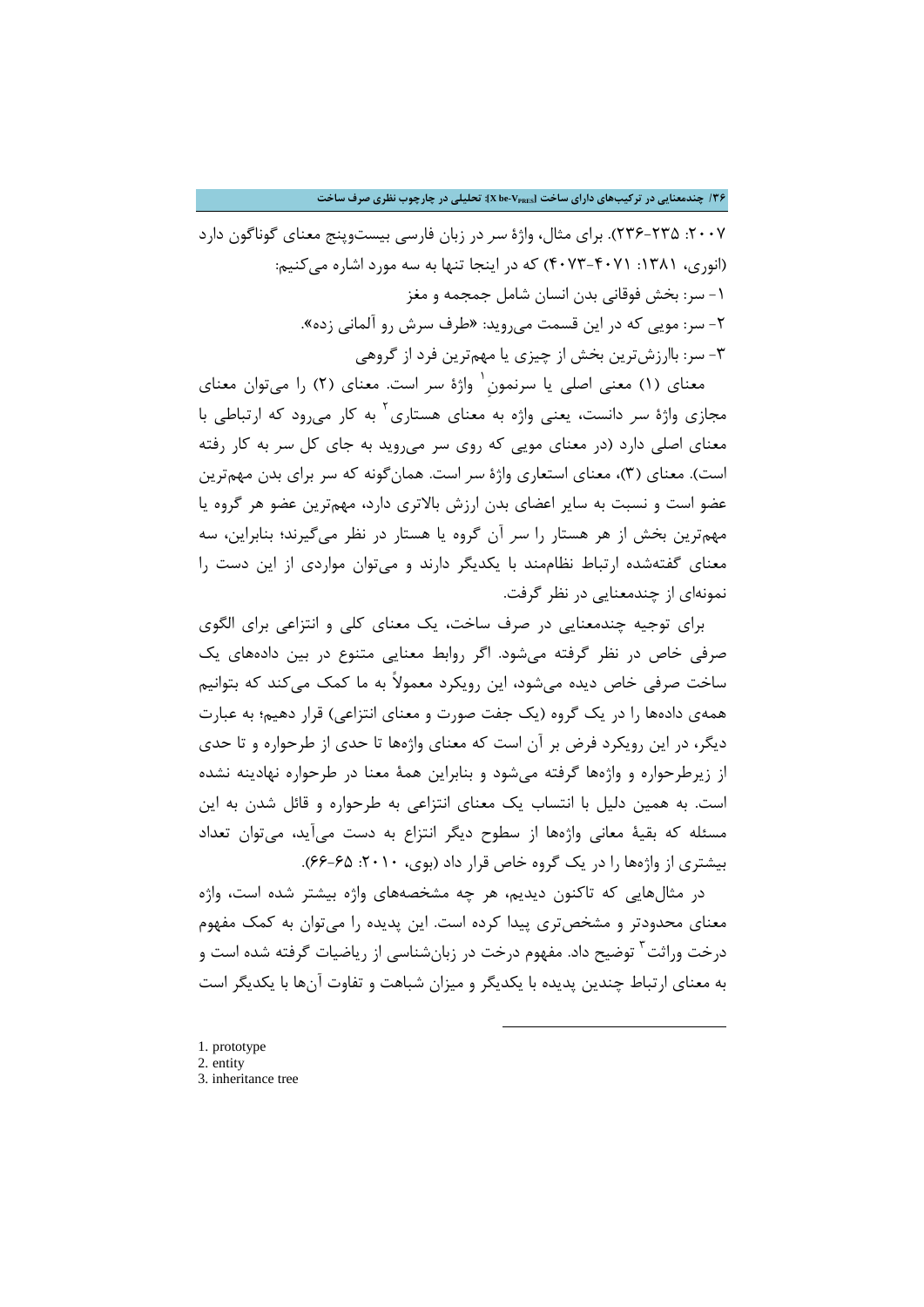:2007 236-235). براي مثال، واژة سر در زبان فارسی بیستوپنج معناي گوناگون دارد (انوري، :1381 4073-4071) که در اینجا تنها به سه مورد اشاره میکنیم: -1 سر: بخش فوقانی بدن انسان شامل جمجمه و مغز -2 سر: مویی که در این قسمت میروید: «طرف سرش رو آلمانی زده». -3 سر: باارزشترین بخش از چیزي یا مهمترین فرد از گروهی

معناي (١) معنى اصلي يا سرنمون<sup>י</sup> واژهٔ *سر* است. معناي (٢) را مي توان معناي مجازي واژهٔ *سر* دانست، یعنی واژه به معناي هستاري<sup>۲</sup> به کار می رود که ارتباطی با معناي اصلی دارد (در معناي مویی که روي سر میروید به جاي کل سر به کار رفته است). معناي (3)، معناي استعاري واژة سر است. همانگونه که سر براي بدن مهمترین عضو است و نسبت به سایر اعضاي بدن ارزش بالاتري دارد، مهمترین عضو هر گروه یا مهمترین بخش از هر هستار را سر آن گروه یا هستار در نظر میگیرند؛ بنابراین، سه معناي گفتهشده ارتباط نظاممند با یکدیگر دارند و میتوان مواردي از این دست را نمونهاي از چندمعنایی در نظر گرفت.

براي توجیه چندمعنایی در صرف ساخت، یک معناي کلی و انتزاعی براي الگوي صرفی خاص در نظر گرفته میشود. اگر روابط معنایی متنوع در بین دادههاي یک ساخت صرفی خاص دیده میشود، این رویکرد معمولاً به ما کمک میکند که بتوانیم همهي دادهها را در یک گروه (یک جفت صورت و معناي انتزاعی) قرار دهیم؛ به عبارت دیگر، در این رویکرد فرض بر آن است که معناي واژهها تا حدي از طرحواره و تا حدي از زیرطرحواره و واژهها گرفته میشود و بنابراین همۀ معنا در طرحواره نهادینه نشده است. به همین دلیل با انتساب یک معناي انتزاعی به طرحواره و قائل شدن به این مسئله که بقیۀ معانی واژهها از سطوح دیگر انتزاع به دست میآید، میتوان تعداد بیشتري از واژهها را در یک گروه خاص قرار داد (بوي، :2010 66-65).

در مثالهایی که تاکنون دیدیم، هر چه مشخصههاي واژه بیشتر شده است، واژه معناي محدودت[ر](#page-9-1) و مشخصتري پیدا کرده است. این پدیده را میتوان به کمک مفهوم درخت وراثت<sup>۲</sup> توضیح داد. مفهوم درخت در زبانشناسی از ریاضیات گرفته شده است و به معناي ارتباط چندین پدیده با یکدیگر و میزان شباهت و تفاوت آنها با یکدیگر است

- <span id="page-9-0"></span>[1](#page-9-2). prototype
- <span id="page-9-2"></span><span id="page-9-1"></span>2. entity 3. inheritance tree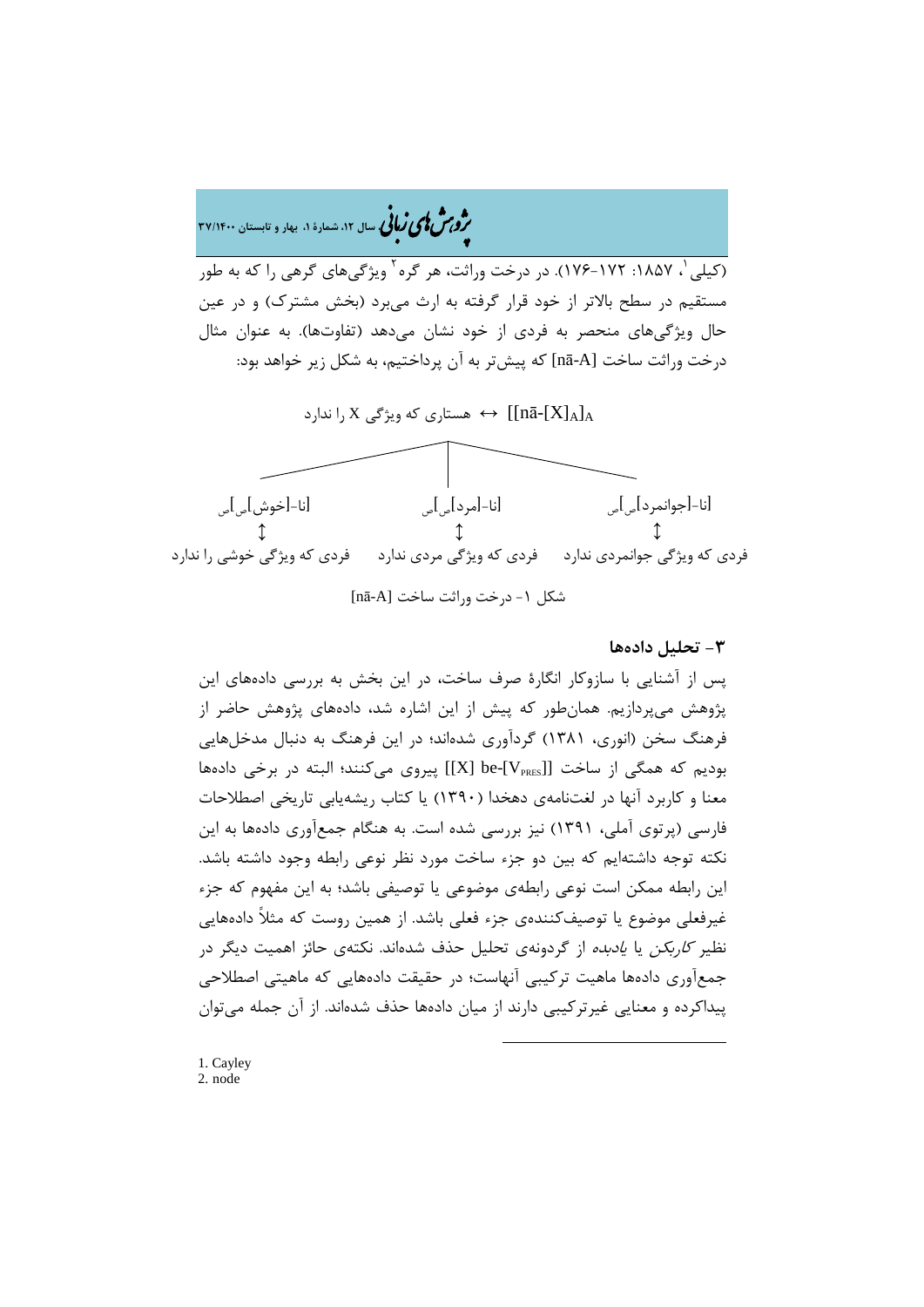# �ی زبا **، سال ،12 شمارة ،1 بهار و تابستان 37/1400** � �و ی �ش

(کیلی <sup>۱</sup>، ۱۸۵۷: ۱۷۲-۱۷۶). در درخت وراثت، هر گره <sup>۲</sup> ویژگیهای گرهی را که به طور مستقیم در سطح بالاتر از خود قرار گرفته به ارث میبرد (بخش مشترك) و در عین حال ویژگیهاي منحصر به فردي از خود نشان میدهد (تفاوتها). به عنوان مثال د, خت 1,1cs ساخت [nā-A] که پیشتر به آن پرداختیم، به شکل زیر خواهد بود:



## **-3 تحلیل دادهها**

پس از آشنایی با سازوکار انگارة صرف ساخت، در این بخش به بررسی دادههاي این پژوهش میپردازیم. همانطور که پیش از این اشاره شد، دادههاي پژوهش حاضر از فرهنگ سخن (انوري، 1381) گردآوري شدهاند؛ در این فرهنگ به دنبال مدخلهایی بودیم که همگی از ساخت [[V<sub>PRES</sub>] پیروی میکنند؛ البته در برخی دادهها معنا و کاربرد آنها در لغتنامهي دهخدا (1390) یا کتاب ریشهیابی تاریخی اصطلاحات فارسی (پرتوي آملی، 1391) نیز بررسی شده است. به هنگام جمعآوري دادهها به این نکته توجه داشتهایم که بین دو جزء ساخت مورد نظر نوعی رابطه وجود داشته باشد. این رابطه ممکن است نوعی رابطهي موضوعی یا توصیفی باشد؛ به این مفهوم که جزء غیرفعلی موضوع یا توصیفکنندهي جزء فعلی باشد. از همین روست که مثلاً دادههایی نظیر کاربکن یا یادبده از گردونهي تحلیل حذف شدهاند. نکتهي حائز اهمیت دیگر در جمعآوري دادهها ماهیت ترکیبی آنهاست؛ در حقیقت دادههایی که ماهیتی اصطلاحی پیداکرده و معنایی غیرترکیبی دارند از میان دادهها حذف شدهاند. از آن جمله میتوان

-

<span id="page-10-1"></span><span id="page-10-0"></span>1. Cayley 2. node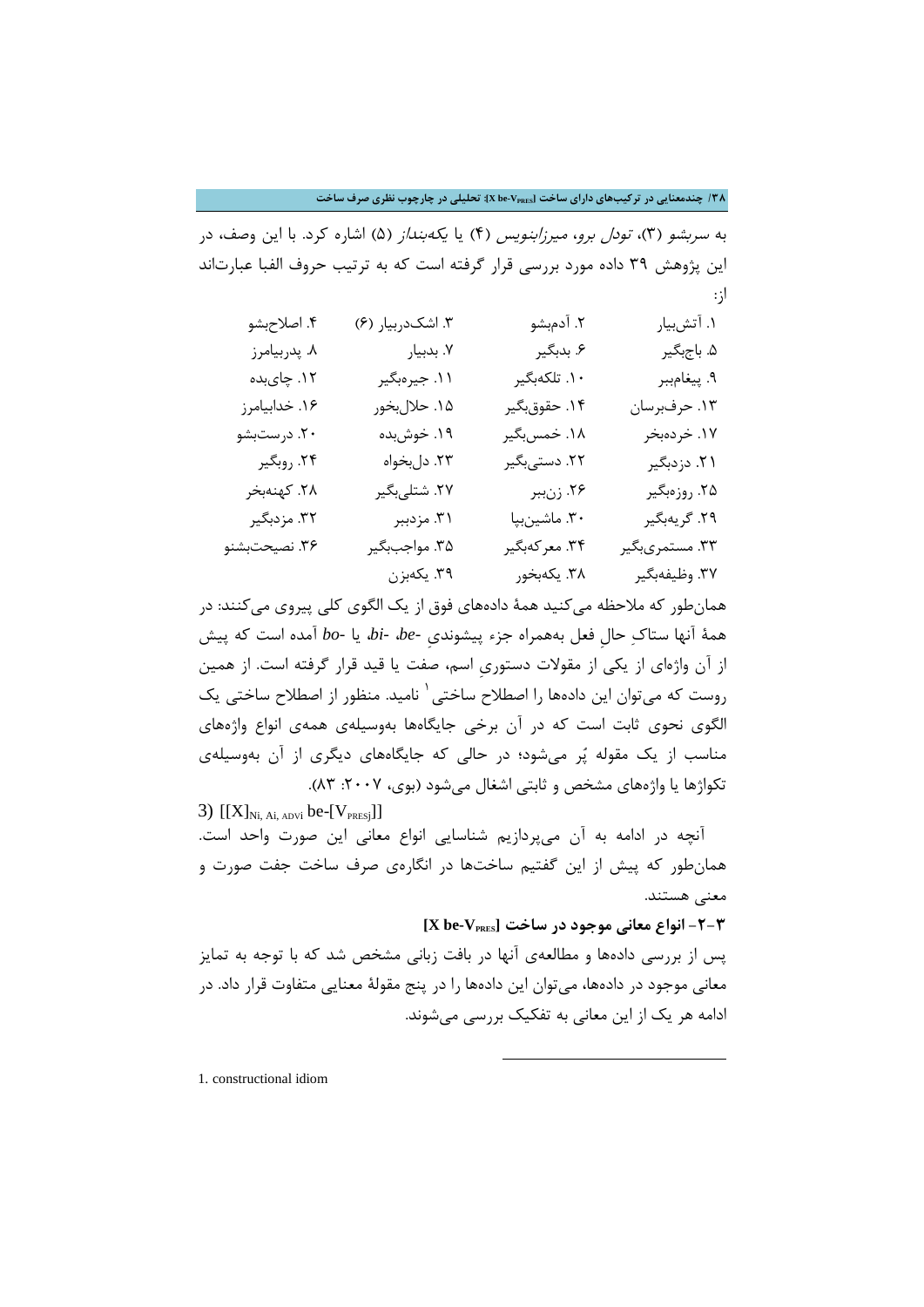**/38 چندمعنایی در ترکیبهاي داراي ساخت [VPRES-be X[: تحلیلی در چارچوب نظري صرف ساخت**

به سربشو (3)، تودل برو، میرزابنویس (4) یا یکهبنداز (5) اشاره کرد. با این وصف، در این پژوهش 39 داده مورد بررسی قرار گرفته است که به ترتیب حروف الفبا عبارتاند از:

| ۴. اصلاحبشو   | ۳. اشکدربیار (۶) | ۲. آدمېشو     | ۱. آتشبيار     |
|---------------|------------------|---------------|----------------|
| ٨. پدربيامرز  | ۷. بدبیار        | ۶. بدبگیر     | ۵. باجبگیر     |
| ۱۲. چایبده    | ۱۱. جیرەبگیر     | ۱۰. تلکهبگیر  | ۹. پيغامببر    |
| ۱۶. خدابیامرز | ۱۵. حلال بخور    | ۱۴. حقوق بگير | ١٣. حرفبرسان   |
| ۲۰. درستبشو   | ۱۹. خوشبده       | ۱۸. خمسبگیر   | ۱۷. خردهبخر    |
| ۲۴. روبگیر    | ٢٣. دلبخواه      | ۲۲. دستیبگیر  | ۲۱. دزدبگیر    |
| ۲۸. كهنهبخر   | ۲۷. شتلی بگیر    | ۲۶. زنببر     | ۲۵. روزەبگير   |
| ۳۲. مزدبگیر   | ۳۱. مزدببر       | ٣٠. ماشينبپا  | ٢٩. گريەبگير   |
| ۳۶. نصیحتبشنو | ۳۵. مواجببگير    | ۳۴. معركهبگير | ٣٣. مستمريبگير |
|               | ۳۹. يكەبزن       | ۳۸. يكەبخور   | ٣٧. وظيفهبگير  |

همانطور که ملاحظه میکنید همۀ دادههاي فوق از یک الگوي کلی پیروي میکنند: در همۀ آنها ستاك حالِ فعل بههمراه جزء پیشونديِ *-be*، *-bi*، یا *-bo* آمده است که پیش از آن واژهاي از یکی از مقولات دستوريِ اسم، صفت یا قید قرار گرفته است. از همین روست که میتوان این دادهها را اصطلاح ساختی <sup>۱</sup> نامید. منظور از اصطلاح ساختی یک الگوي نحوي ثابت است که در آن برخی جایگاهها بهوسیلهي همهي انواع واژههاي مناسب از یک مقوله پر میشود؛ در حالی که جایگاههاي دیگري از آن بهوسیلهي تکواژها یا واژههای مشخص و ثابتی اشغال می شود (بوی، ۲۰۰۷: ۸۳).

3)  $[[X]_{Ni, Ai, ADVi}$  be- $[V_{PRESj}]$ ] آنچه در ادامه به آن میپردازیم شناسایی انواع معانی این صورت واحد است. همانطور که پیش از این گفتیم ساختها در انگارهي صرف ساخت جفت صورت و معنی هستند.

## **-2-3 انواع معانی موجود در ساخت [VPRES-be X[**

پس از بررسی دادهها و مطالعهي آنها در بافت زبانی مشخص شد که با توجه به تمایز معانی موجود در دادهها، میتوان این دادهها را در پنج مقولۀ معنایی متفاوت قرار داد. در ادامه هر یک از این معانی به تفکیک بررسی میشوند.

-

<span id="page-11-0"></span>1. constructional idiom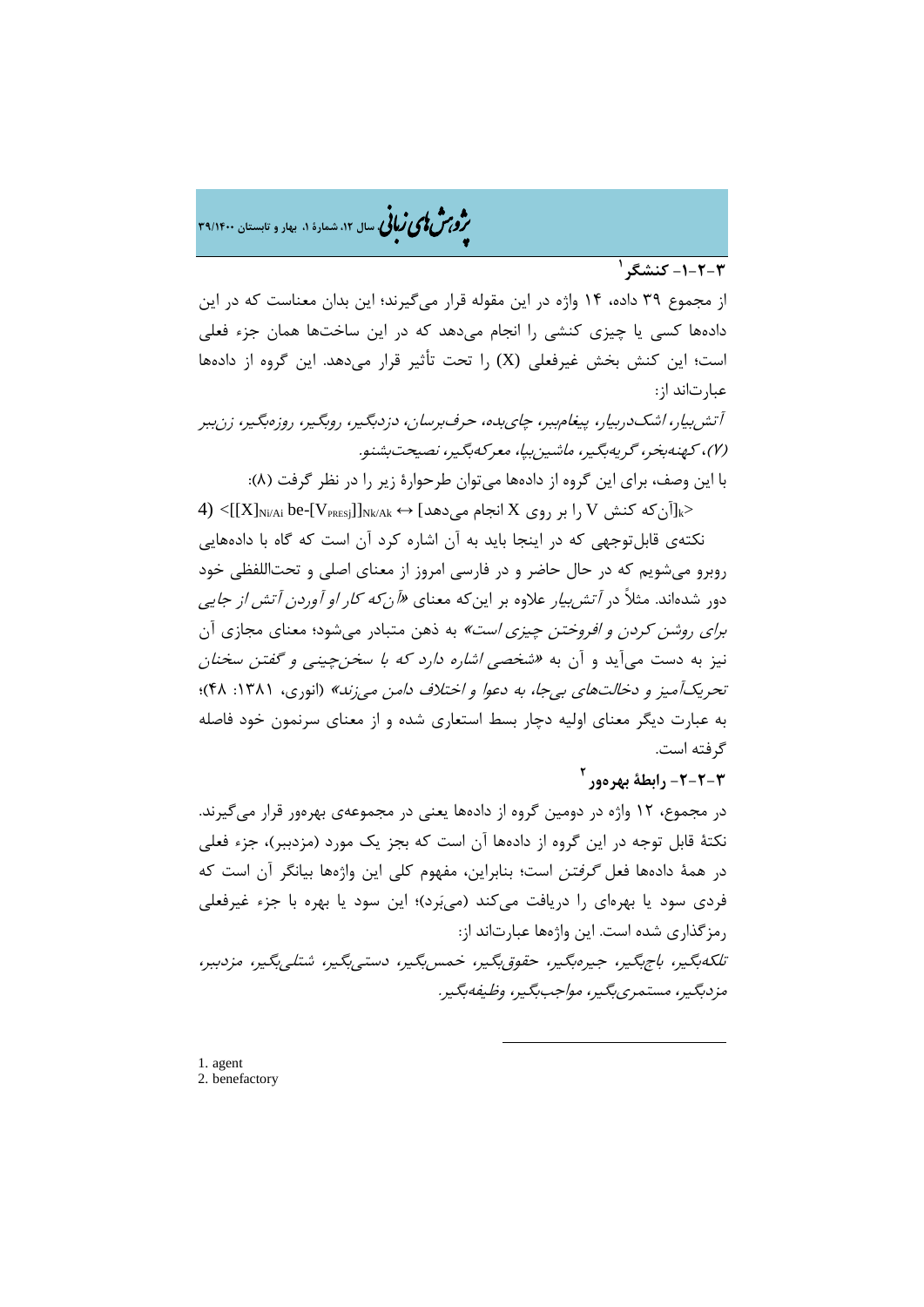ه م**شملی زبانی** سال ۱۲، شمارهٔ ۱، بهار و تابستان ۳۹/۱۴۰۰

## **1 -1-2-3 کنشگر**

از مجموع [39](#page-12-0) داده، 14 واژه در این مقوله قرار میگیرند؛ این بدان معناست که در این دادهها کسی یا چیزي کنشی را انجام میدهد که در این ساختها همان جزء فعلی است؛ این کنش بخش غیرفعلی (X (را تحت تأثیر قرار میدهد. این گروه از دادهها عبارتاند از:

آتشبیار، اشکدربیار، پیغامببر، چايبده، حرفبرسان، دزدبگیر، روبگیر، روزهبگیر، زنببر (7)، کهنهبخر، گریهبگیر، ماشینبپا، معرکهبگیر، نصیحتبشنو.

با این وصف، براي این گروه از دادهها میتوان طرحوارة زیر را در نظر گرفت (8):

4) <[[X]<sub>Ni/Ai</sub> be-[V<sub>PRESj</sub>]]<sub>Nk/Ak</sub> ↔ [میدهد] بر روی X انجام میدهد | V را بر روی انجام این استفاده انجام این استفاد نکتهي قابلتوجهی که در اینجا باید به آن اشاره کرد آن است که گاه با دادههایی روبرو میشویم که در حال حاضر و در فارسی امروز از معناي اصلی و تحتاللفظی خود دور شدهاند. مثلاً در *آتشبیار* علاوه بر اینکه معنای «*آنکه کار او آوردن آتش از جایی* براي روشن کردن و افروختن چیزي است» به ذهن متبادر میشود؛ معناي مجازي آن نیز به دست میآید و آن به «شخصی اشاره دارد که با سخنچینی و گفتن سخنان تحریکآمیز و دخالتهاي بیجا، به دعوا و اختلاف دامن میزند» (انوري، :1381 48)؛ به عبارت دیگر معناي اولیه دچار بسط استعاري شده و از معناي سرنمون خود فاصله گرفته است.

## **2 -2-2-3 رابطۀ بهرهور**

در مجموع، 12 واژه در دومین گروه از دادهها یعنی در مجموعهي بهرهور قرار میگیرند. نکتۀ قابل توجه در این گروه از دادهها آن است که بجز یک مورد (مزدببر)، جزء فعلی در همۀ دادهها فعل گرفتن است؛ بنابراین، مفهوم کلی این واژهها بیانگر آن است که فردي سود یا بهرهاي را دریافت میکند (میبرد)؛ این سود یا بهره با جزء غیرفعلی رمزگذاري شده است. این واژهها عبارتاند از: تلکهبگیر، باجبگیر، جیرهبگیر، حقوقبگیر، خمسبگیر، دستیبگیر، شتلیبگیر، مزدببر، مزدبگیر، مستمريبگیر، مواجببگیر، وظیفهبگیر.

-

<span id="page-12-1"></span><span id="page-12-0"></span>[1](#page-12-1). agent 2. benefactory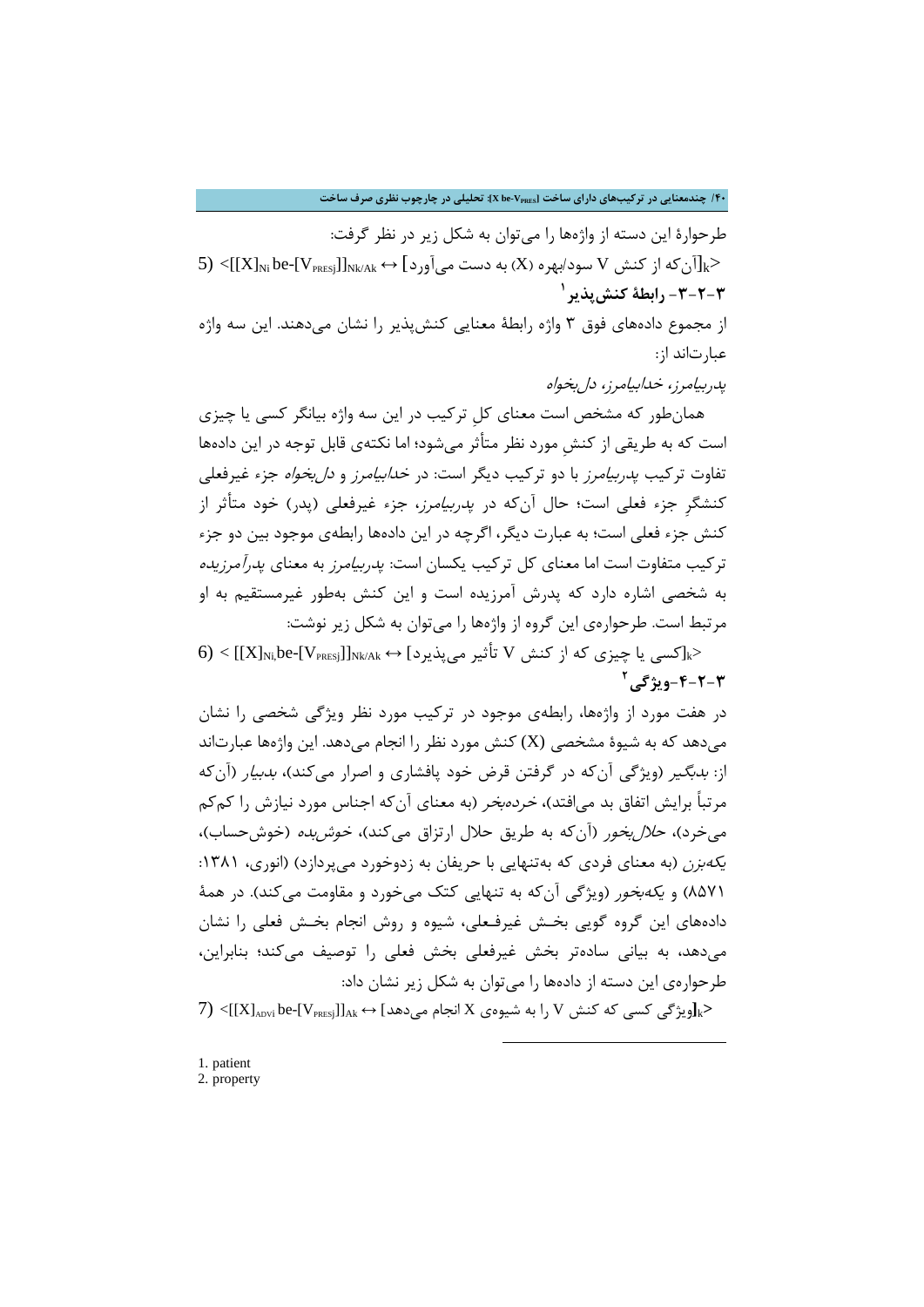**/40 چندمعنایی در ترکیبهاي داراي ساخت [VPRES-be X[: تحلیلی در چارچوب نظري صرف ساخت**

طرحوارة این دسته از واژهها را میتوان به شکل زیر در نظر گرفت:  $(5) <$ [[X] $_{\rm Ni}$  be-[V $_{\rm PRES}$ ]] از که از کنش  $\rm V$  سود/بهره $\rm X$ ) به دست می $\rm J_{\rm g}$ د $\rm K$ **1 -3-2-3 رابطۀ کنشپذیر**

از مجموع دادههاي فوق 3 واژه رابطۀ معنایی کنشپذیر را نشان میدهند. این سه واژه عبارتاند از:

پدربیامرز، خدابیامرز، دلبخواه

همانطور که مشخص است معناي کلِ ترکیب در این سه واژه بیانگر کسی یا چیزي است که به طریقی از کنشِ مورد نظر متأثر میشود؛ اما نکتهي قابل توجه در این دادهها تفاوت ترکیب *پدربیامرز* با دو ترکیب دیگر است: در *خدابیامرز و دل بخواه* جزء غیرفعلی کنشگرِ جزء فعلی است؛ حال آنکه در پدربیامرز، جزء غیرفعلی (پدر) خود متأثر از کنش جزء فعلی است؛ به عبارت دیگر، اگرچه در این دادهها رابطهي موجود بین دو جزء ترکیب متفاوت است اما معناي کل ترکیب یکسان است: پدربیامرز به معناي پدرآمرزیده به شخصی اشاره دارد که پدرش آمرزیده است و این کنش بهطور غیرمستقیم به او مرتبط است. طرحوارهي این گروه از واژهها را میتوان به شکل زیر نوشت:

 $\delta) < [[X]_{Ni}$ کسی یا چیزی که از کنش V تأثیر میپذیرد]  $\sim$  Ak/Ak  $\leftrightarrow$  [[X] **2 -4-2-3ویژگی**

[در](#page-13-1) هفت مورد از واژهها، رابطهي موجود در ترکیب مورد نظر ویژگی شخصی را نشان میدهد که به شیوهٔ مشخصی (X) کنش مورد نظر را انجام میدهد. این واژهها عبارتاند از: *بدبگیر* (ویژگی آنکه در گرفتن قرض خود پافشاری و اصرار میکند)، *بدبیار* (آنکه مرتباً برایش اتفاق بد میافتد)، خردهبخر (به معناي آنکه اجناس مورد نیازش را کمکم می خرد)، ح*لال بخو*ر (آن که به طریق حلال ارتزاق میکند)، *خوش بده* (خوش حساب)، یکهبزن (به معناي فردي که بهتنهایی با حریفان به زدوخورد میپردازد) (انوري، :1381 8571) و یکهبخور (ویژگی آنکه به تنهایی کتک میخورد و مقاومت میکند). در همۀ دادههاي این گروه گویی بخـش غیرفـعلی، شیوه و روش انجام بخـش فعلی را نشان میدهد، به بیانی سادهتر بخش غیرفعلی بخش فعلی را توصیف میکند؛ بنابراین، طرحوارهي این دسته از دادهها را میتوان به شکل زیر نشان داد:  $(7)$  < $[X]_{\rm avv}$ ibe- $[V_{\rm PRESj}]$ ] →  $X$  انجام می $\sim$ هد] → Ak $\sim$  Al $\gg$ 

-

<span id="page-13-1"></span><span id="page-13-0"></span>1. patient 2. property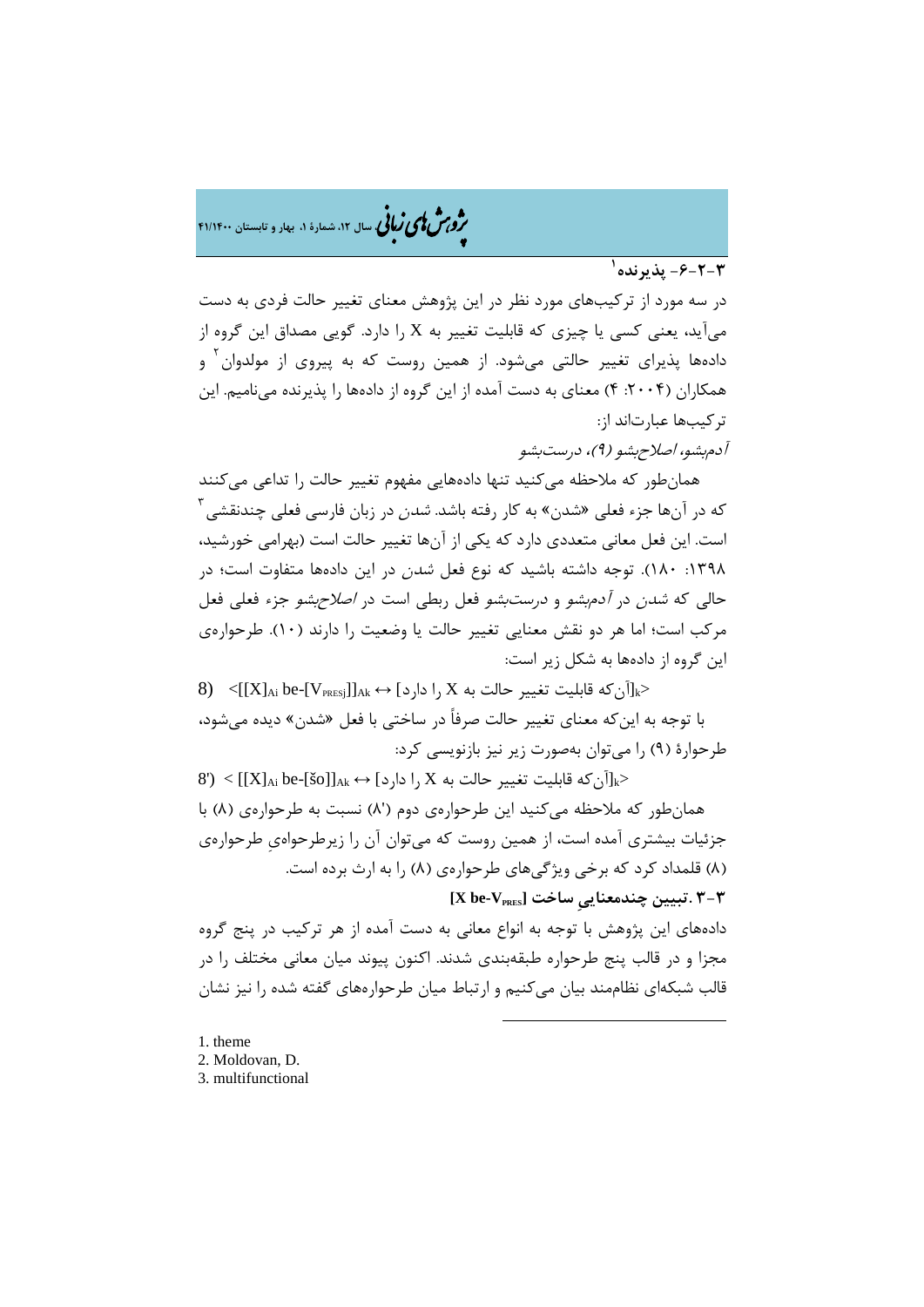�ی زبا **، سال ،12 شمارة ،1 بهار و تابستان 41/1400** � �و ی �ش

**1 -6-2-3 پذیرنده**

در سه مورد از ترکیبهاي مورد نظر در این پژوهش معناي تغییر حالت [ف](#page-14-0)ردي به دست میآید، یعنی کسی یا چیزي که قابلیت تغییر به X را دارد. گویی مصداق این گروه از دادهها پذیرای تغییر حالتی میشود. از همین روست که به پیروی از مولدوان<sup>۲</sup> و همکاران (۲۰۰۴: ۴) معنای به دست آمده از این گروه از دادهها را پذیرنده می نامیم. این ترکیبها عبارتاند از:

آدمبشو، اصلاحبشو (9)، درستبشو

همانطور که ملاحظه میکنید تنها دادههایی مفهوم تغییر حالت را تداعی میکنند که در آنها جزء فعلی «شدن» به کار رفته باشد. *شدن* در زبان فارسی فعلی چندنقشی<sup>۳</sup> است. این فعل معانی متعددي دارد که یکی از آنها تغییر حالت است (بهرامی خورشید، :1398 180). توجه داشته باشید که نوع فعل شدن در این دادهها متفاوت است؛ در حالی که شدن در آدمبشو و درستبشو فعل ربطی است در اصلاحبشو جزء فعلی فعل مرکب است؛ اما هر دو نقش معنایی تغییر حالت یا وضعیت را دارند (10). طرحوارهي این گروه از دادهها به شکل زیر است:

 $8)$  $8)$  <{[X]<sub>Ai</sub> be-[V<sub>PRESj</sub>]]<sub>Ak</sub> ↔ [مارد] , X را دارد]  $\times$  \$ قابلیت تغییر حالت به $\geq$ با توجه به اینکه معناي تغییر حالت صرفاً در ساختی با فعل «شدن» دیده میشود، طرحوارة (9) را میتوان بهصورت زیر نیز بازنویسی کرد:

 $(8') < |[X]_{Ai}$  be- $[80]_{Ak} \leftrightarrow [0,1]_{Ai}$  دارد]  $\rightarrow$   $[X]_{Ai}$ )  $\rightarrow$ همانطور که ملاحظه میکنید این طرحوارهي دوم ('8) نسبت به طرحوارهي (8) با جزئیات بیشتري آمده است، از همین روست که میتوان آن را زیرطرحواهيِ طرحوارهي (8) قلمداد کرد که برخی ویژگیهاي طرحوارهي (8) را به ارث برده است.

**3-3 .تبیین چندمعناییِ ساخت [VPRES-be X[**

دادههاي این پژوهش با توجه به انواع معانی به دست آمده از هر ترکیب در پنج گروه مجزا و در قالب پنج طرحواره طبقهبندي شدند. اکنون پیوند میان معانی مختلف را در قالب شبکهاي نظاممند بیان میکنیم و ارتباط میان طرحوارههاي گفته شده را نیز نشان

-

<span id="page-14-1"></span><span id="page-14-0"></span>1. theme 2. Moldovan, D. 3. multifunctional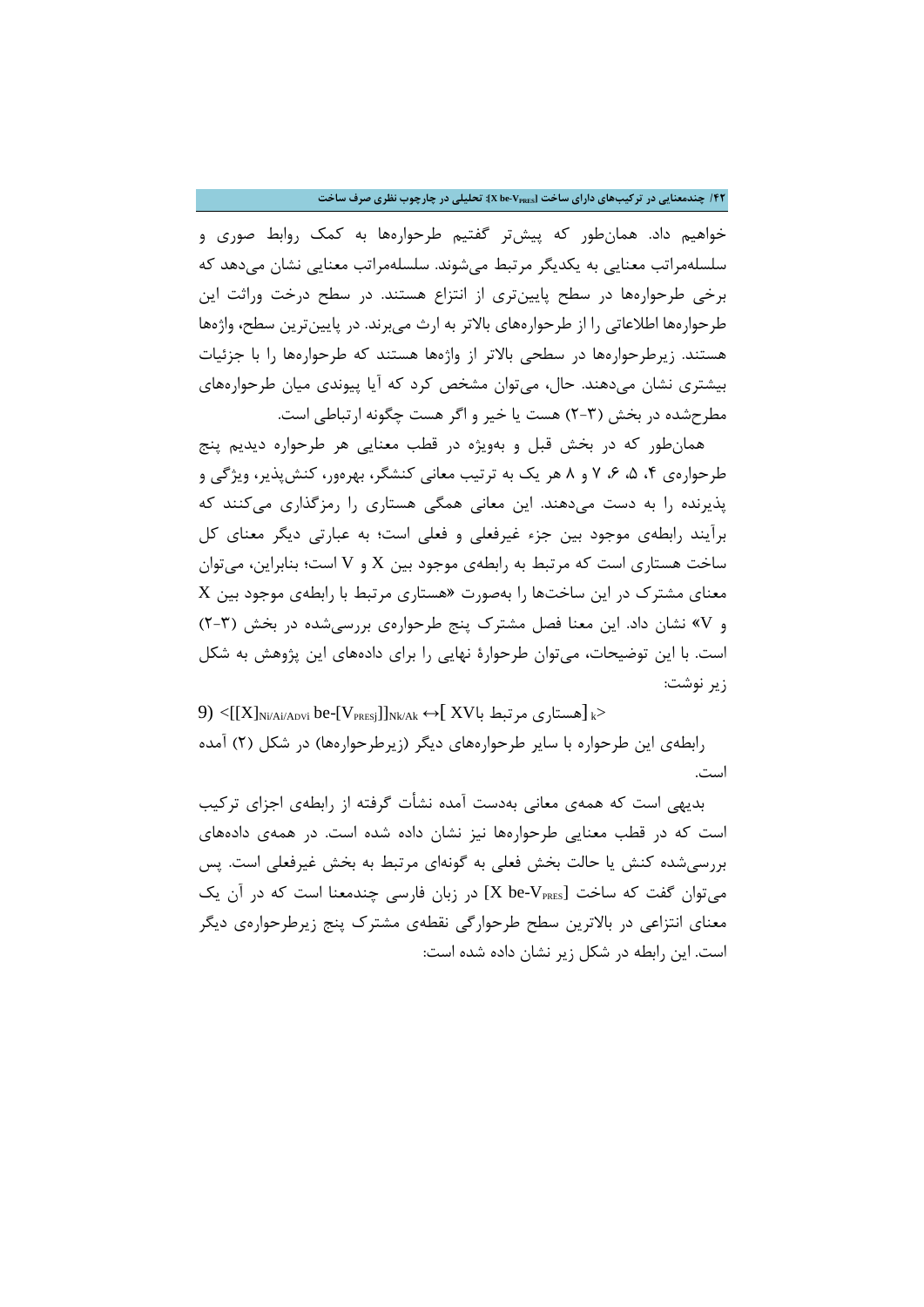**/42 چندمعنایی در ترکیبهاي داراي ساخت [VPRES-be X[: تحلیلی در چارچوب نظري صرف ساخت**

خواهیم داد. همانطور که پیشتر گفتیم طرحوارهها به کمک روابط صوري و سلسلهمراتب معنایی به یکدیگر مرتبط میشوند. سلسلهمراتب معنایی نشان میدهد که برخی طرحوارهها در سطح پایینتري از انتزاع هستند. در سطح درخت وراثت این طرحوارهها اطلاعاتی را از طرحوارههاي بالاتر به ارث میبرند. در پایینترین سطح، واژهها هستند. زیرطرحوارهها در سطحی بالاتر از واژهها هستند که طرحوارهها را با جزئیات بیشتري نشان میدهند. حال، میتوان مشخص کرد که آیا پیوندي میان طرحوارههاي مطرحشده در بخش (2-3) هست یا خیر و اگر هست چگونه ارتباطی است.

همانطور که در بخش قبل و بهویژه در قطب معنایی هر طرحواره دیدیم پنج طرحوارهي ۴، ۵، ۶، ۷ و ۸ هر یک به ترتیب معانی کنشگر، بهرهور، کنشپذیر، ویژگی و پذیرنده را به دست میدهند. این معانی همگی هستاري را رمزگذاري میکنند که برآیند رابطهي موجود بین جزء غیرفعلی و فعلی است؛ به عبارتی دیگر معناي کل ساخت هستاري است که مرتبط به رابطهي موجود بین X و V است؛ بنابراین، میتوان معناي مشترك در این ساختها را بهصورت «هستاري مرتبط با رابطهي موجود بین X و V «نشان داد. این معنا فصل مشترك پنج طرحوارهي بررسیشده در بخش (2-3) است. با این توضیحات، میتوان طرحوارة نهایی را براي دادههاي این پژوهش به شکل زیر نوشت:

9) <[[X]<sub>Ni/Ai/ADvi</sub> be-[V<sub>PRESj</sub>]]<sub>Nk/Ak</sub> ↔[ XV] مستاری مرتبط با $\geq$ 

رابطهي این طرحواره با سایر طرحوارههاي دیگر (زیرطرحوارهها) در شکل (2) آمده است.

بدیهی است که همهي معانی بهدست آمده نشأت گرفته از رابطهي اجزاي ترکیب است که در قطب معنایی طرحوارهها نیز نشان داده شده است. در همهي دادههاي بررسیشده کنش یا حالت بخش فعلی به گونهاي مرتبط به بخش غیرفعلی است. پس میتوان گفت که ساخت [X be-V $_{\rm PRES}$ ] در زبان فارسی چندمعنا است که در آن یک معناي انتزاعی در بالاترین سطح طرحوارگی نقطهي مشترك پنج زیرطرحوارهي دیگر است. این رابطه در شکل زیر نشان داده شده است: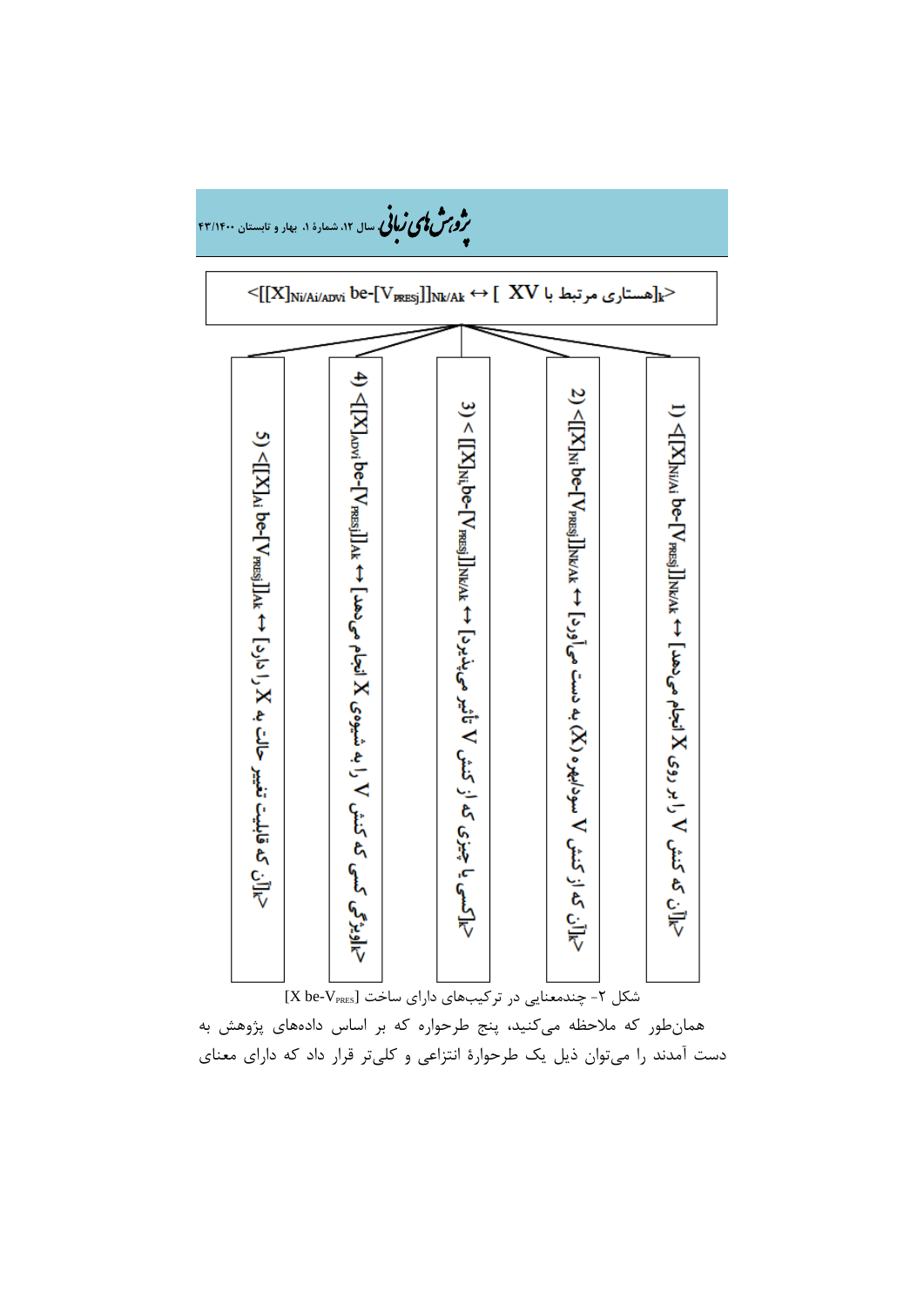

همانطور که ملاحظه میکنید، پنج طرحواره که بر اساس دادههاي پژوهش به دست آمدند را میتوان ذیل یک طرحوارة انتزاعی و کلیتر قرار داد که داراي معناي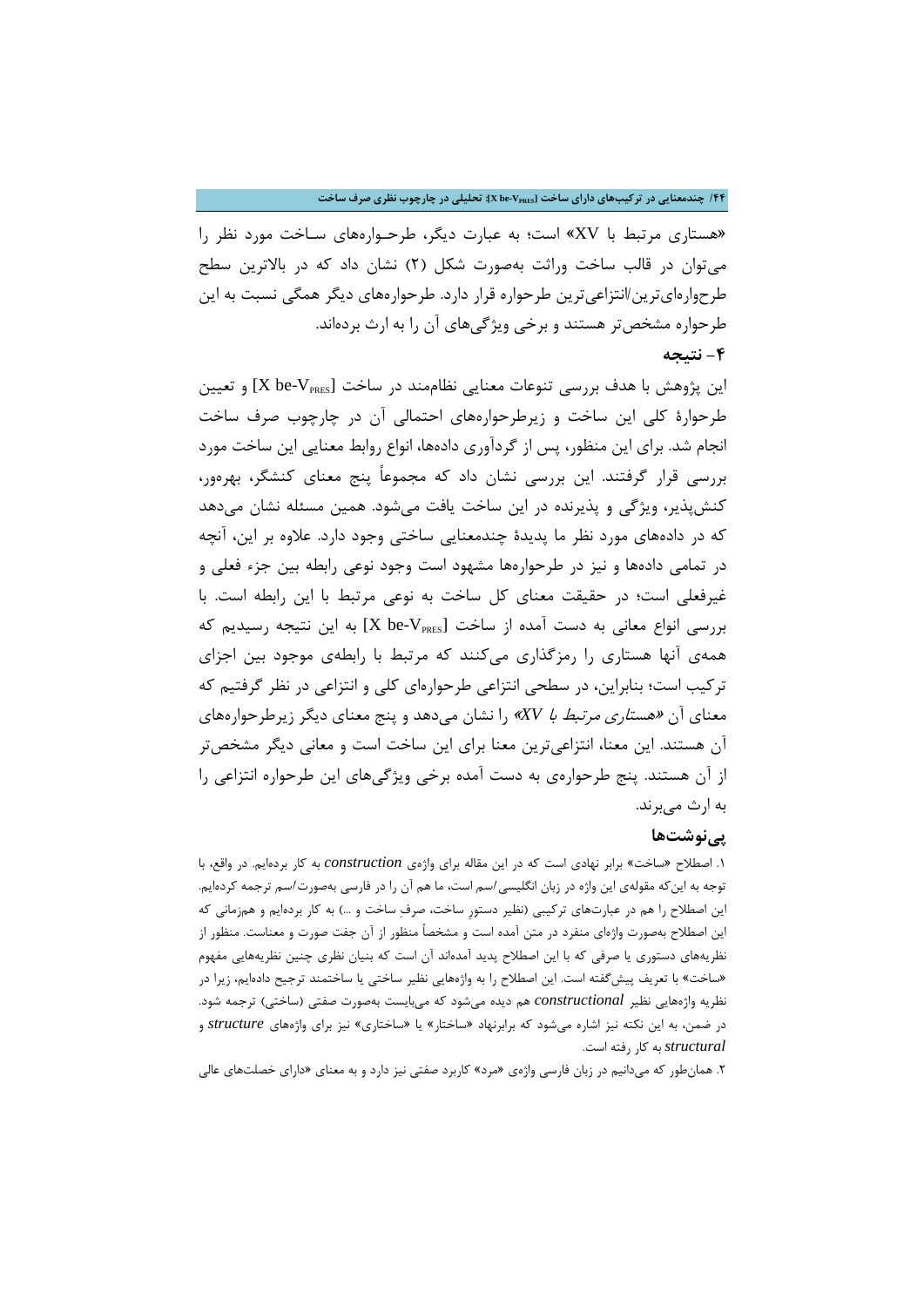## **/44 چندمعنایی در ترکیبهاي داراي ساخت [VPRES-be X[: تحلیلی در چارچوب نظري صرف ساخت**

«هستاري مرتبط با XV «است؛ به عبارت دیگر، طرحـوارههاي سـاخت مورد نظر را میتوان در قالب ساخت وراثت بهصورت شکل (2) نشان داد که در بالاترین سطح طرحوارهايترین/انتزاعیترین طرحواره قرار دارد. طرحوارههاي دیگر همگی نسبت به این طرحواره مشخصتر هستند و برخی ویژگیهاي آن را به ارث بردهاند.

## **-4 نتیجه**

این پژوهش با هدف بررسی تنوعات معنایی نظاممند در ساخت [X be-V $_{\tt PRES}$ ] و تعیین طرحوارة کلی این ساخت و زیرطرحوارههاي احتمالی آن در چارچوب صرف ساخت انجام شد. براي این منظور، پس از گردآوري دادهها، انواع روابط معنایی این ساخت مورد بررسی قرار گرفتند. این بررسی نشان داد که مجموعاً پنج معناي کنشگر، بهرهور، کنشپذیر، ویژگی و پذیرنده در این ساخت یافت میشود. همین مسئله نشان میدهد که در دادههاي مورد نظر ما پدیدة چندمعنایی ساختی وجود دارد. علاوه بر این، آنچه در تمامی دادهها و نیز در طرحوارهها مشهود است وجود نوعی رابطه بین جزء فعلی و غیرفعلی است؛ در حقیقت معناي کل ساخت به نوعی مرتبط با این رابطه است. با بررسی انواع معانی به دست آمده از ساخت [X be-V $_{\rm PRES}$ ] به این نتیجه رسیدیم که همهي آنها هستاري را رمزگذاري میکنند که مرتبط با رابطهي موجود بین اجزاي ترکیب است؛ بنابراین، در سطحی انتزاعی طرحوارهاي کلی و انتزاعی در نظر گرفتیم که معناي آن «هستاري مرتبط با *XV* «را نشان میدهد و پنج معناي دیگر زیرطرحوارههاي آن هستند. این معنا، انتزاعیترین معنا براي این ساخت است و معانی دیگر مشخصتر از آن هستند. پنج طرحوارهي به دست آمده برخی ویژگیهاي این طرحواره انتزاعی را به ارث میبرند.

### **پینوشتها**

.1 اصطلاح «ساخت» برابر نهادي است که در این مقاله براي واژهي *construction* به کار بردهایم. در واقع، با توجه به اینکه مقولهي این واژه در زبان انگلیسی اسم است، ما هم آن را در فارسی بهصورت اسم ترجمه کردهایم. این اصطلاح را هم در عبارتهاي ترکیبی (نظیر دستورِ ساخت، صرف ساخت و ...) به کار بردهایم و همزمانی که این اصطلاح بهصورت واژهاي منفرد در متن آمده است و مشخصاً منظور از آن جفت صورت و معناست. منظور از نظریههاي دستوري یا صرفی که با این اصطلاح پدید آمدهاند آن است که بنیان نظري چنین نظریههایی مفهوم «ساخت» با تعریف پیشگفته است. این اصطلاح را به واژههایی نظیر ساختی یا ساختمند ترجیح دادهایم، زیرا در نظریه واژههایی نظیر *constructional* هم دیده میشود که میبایست بهصورت صفتی (ساختی) ترجمه شود. در ضمن، به این نکته نیز اشاره میشود که برابرنهاد «ساختار» یا «ساختاري» نیز براي واژههاي *structure* و *structural* به کار رفته است.

.2 همانطور که میدانیم در زبان فارسی واژهي «مرد» کاربرد صفتی نیز دارد و به معناي «داراي خصلتهاي عالی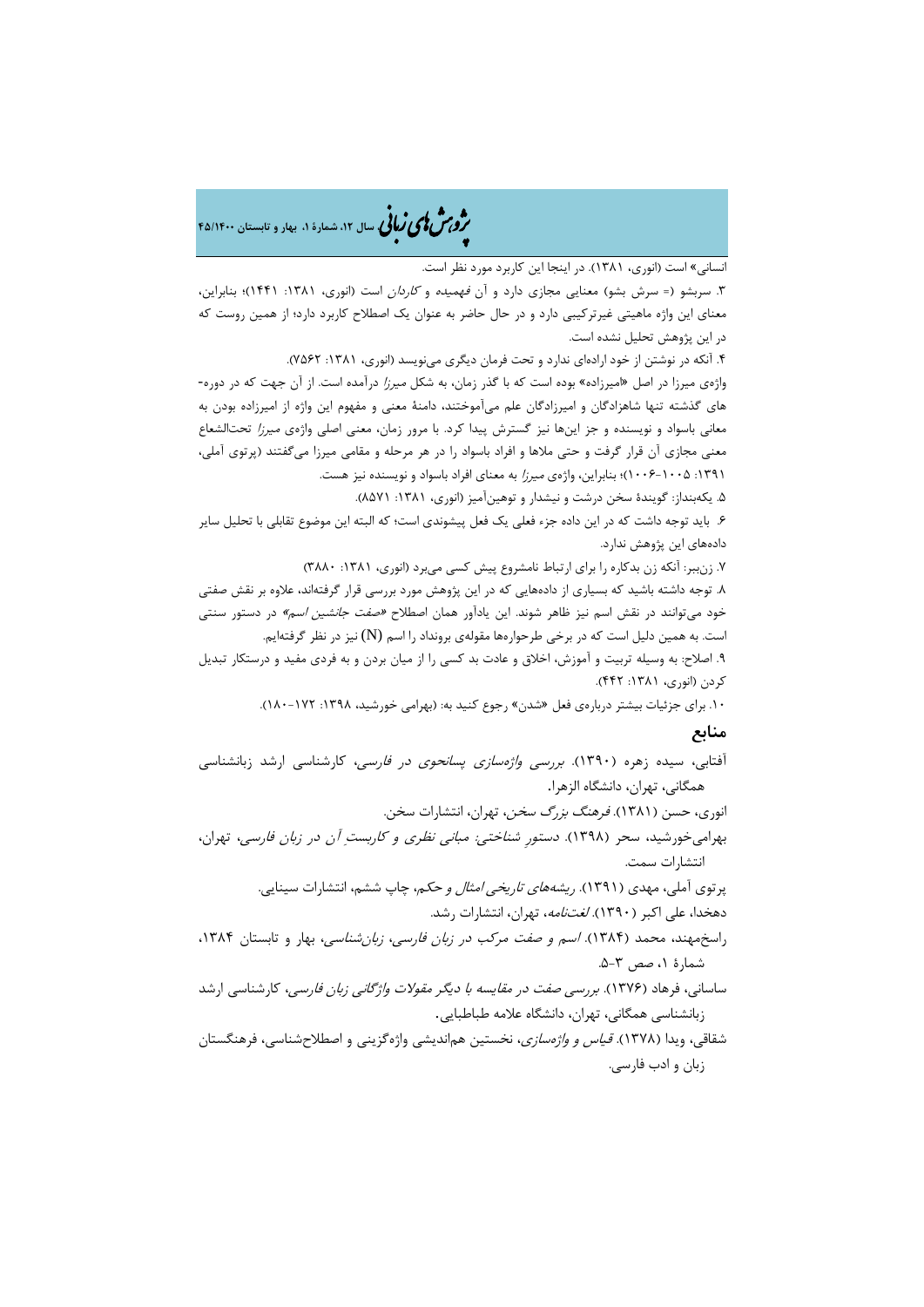## �ی زبا **، سال ،12 شمارة ،1 بهار و تابستان 45/1400** � �و ی �ش

انسانی» است (انوري، 1381). در اینجا این کاربرد مورد نظر است.

.3 سربشو (= سرش بشو) معنایی مجازي دارد و آن فهمیده و کاردان است (انوري، :1381 1441)؛ بنابراین، معناي این واژه ماهیتی غیرترکیبی دارد و در حال حاضر به عنوان یک اصطلاح کاربرد دارد؛ از همین روست که در این پژوهش تحلیل نشده است.

.4 آنکه در نوشتن از خود ارادهاي ندارد و تحت فرمان دیگري مینویسد (انوري، :1381 7562).

واژهي میرزا در اصل «امیرزاده» بوده است که با گذر زمان، به شکل میرزا درآمده است. از آن جهت که در دوره- هاي گذشته تنها شاهزادگان و امیرزادگان علم میآموختند، دامنۀ معنی و مفهوم این واژه از امیرزاده بودن به معانی باسواد و نویسنده و جز اینها نیز گسترش پیدا کرد. با مرور زمان، معنی اصلی واژهي میرزا تحتالشعاع معنی مجازي آن قرار گرفت و حتی ملاها و افراد باسواد را در هر مرحله و مقامی میرزا میگفتند (پرتوي آملی، :1391 1006-1005)؛ بنابراین، واژهي میرزا به معناي افراد باسواد و نویسنده نیز هست.

.5 یکهبنداز: گویندة سخن درشت و نیشدار و توهینآمیز (انوري، :1381 8571).

.6 باید توجه داشت که در این داده جزء فعلی یک فعل پیشوندي است؛ که البته این موضوع تقابلی با تحلیل سایر دادههاي این پژوهش ندارد.

.7 زنببر: آنکه زن بدکاره را براي ارتباط نامشروع پیش کسی میبرد (انوري، :1381 3880)

.8 توجه داشته باشید که بسیاري از دادههایی که در این پژوهش مورد بررسی قرار گرفتهاند، علاوه بر نقش صفتی خود میتوانند در نقش اسم نیز ظاهر شوند. این یادآور همان اصطلاح «صفت جانشین اسم» در دستور سنتی است. به همین دلیل است که در برخی طرحوارهها مقولهي برونداد را اسم (N (نیز در نظر گرفتهایم.

.9 اصلاح: به وسیله تربیت و آموزش، اخلاق و عادت بد کسی را از میان بردن و به فردي مفید و درستکار تبدیل کردن (انوري، :1381 442).

.10 براي جزئیات بیشتر دربارهي فعل «شدن» رجوع کنید به: (بهرامی خورشید، :1398 180-172).

## **منابع**

آفتابی، سیده زهره (1390). بررسی واژهسازي پسانحوي در فارسی، کارشناسی ارشد زبانشناسی همگانی، تهران، دانشگاه الزهرا.

انوري، حسن (1381). فرهنگ بزرگ سخن، تهران، انتشارات سخن.

بهرامیخورشید، سحر (1398). دستورِ شناختی: مبانی نظري و کاربست آن در زبان فارسی، تهران، انتشارات سمت.

> پرتوی آملی، مهدی (۱۳۹۱). *ریشههای تاریخی امثال و حکم*، چاپ ششم، انتشارات سینایی. دهخدا، علی اکبر (1390). لغتنامه، تهران، انتشارات رشد.

راسخمهند، محمد (۱۳۸۴). *اسم و صفت مرکب در زبان فارسی، زبان شناسی،* بهار و تابستان ۱۳۸۴، شمارة ،1 صص .5-3

ساسانی، فرهاد (1376). بررسی صفت در مقایسه با دیگر مقولات واژگانی زبان فارسی، کارشناسی ارشد زبانشناسی همگانی، تهران، دانشگاه علامه طباطبایی.

شقاقی، ویدا (1378). قیاس و واژهسازي، نخستین هماندیشی واژهگزینی و اصطلاحشناسی، فرهنگستان زبان و ادب فارسی.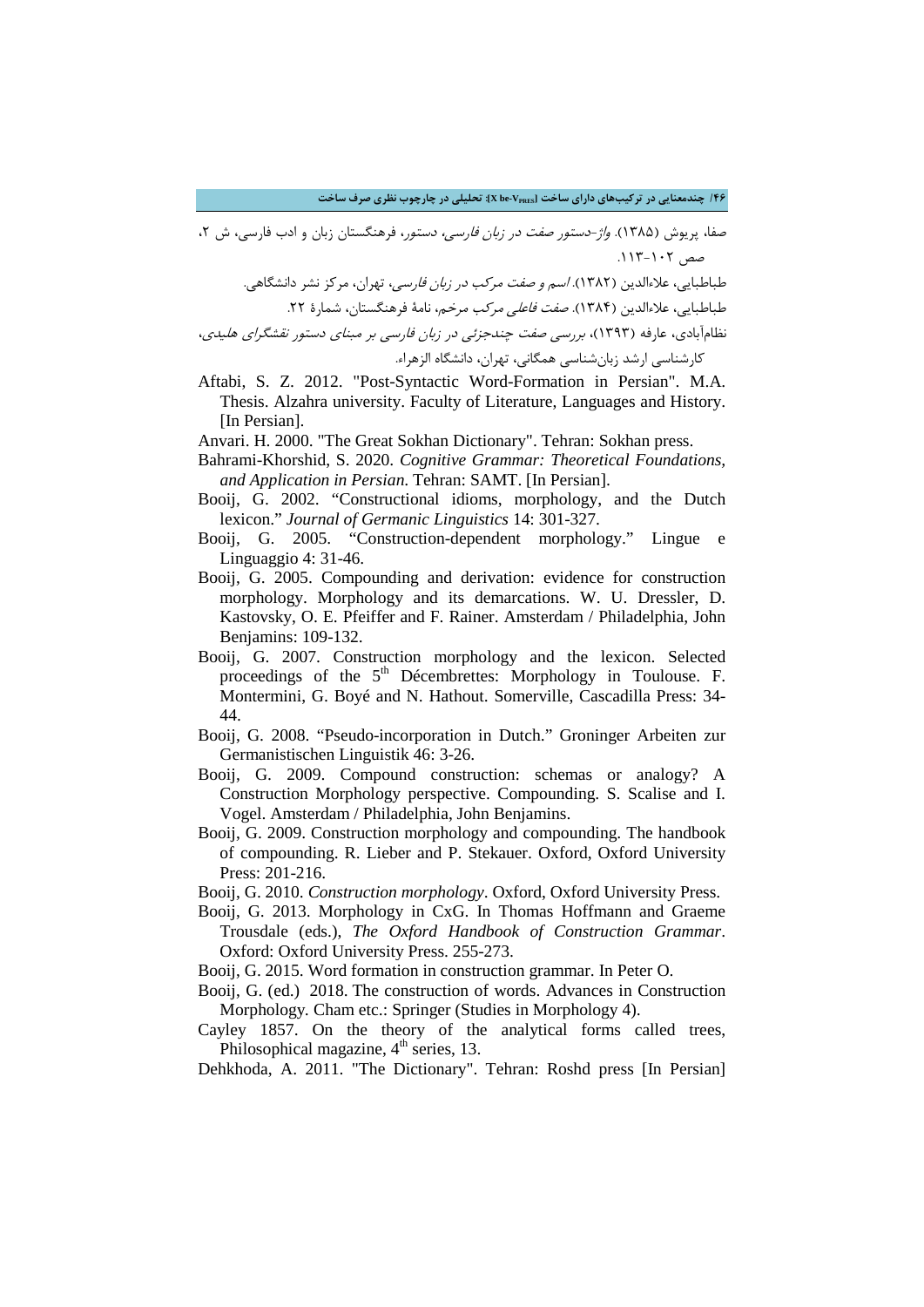**/46 چندمعنایی در ترکیبهاي داراي ساخت [VPRES-be X[: تحلیلی در چارچوب نظري صرف ساخت**

صفا، پریوش (۱۳۸۵). *واژ-دستور صفت در زبان فارسی، دستور*، فرهنگستان زبان و ادب فارسی، ش ۲،  $.115-1.7$ صص

طباطبایی، علاءالدین (۱۳۸۲). *اسم و صفت مرکب در زبان فارسی،* تهران، مرکز نشر دانشگاهی. طباطبایی، علاءالدین (۱۳۸۴). *صفت فاعلی مرکب مرخم*، نامۀ فرهنگستان، شمارۀ ۲۲.

نظامآبادي، عارفه (1393)، بررسی صفت چندجزئی در زبان فارسی بر مبناي دستور نقشگراي هلیدي، کارشناسی ارشد زبانشناسی همگانی، تهران، دانشگاه الزهراء.

- Aftabi, S. Z. 2012. "Post-Syntactic Word-Formation in Persian". M.A. Thesis. Alzahra university. Faculty of Literature, Languages and History. [In Persian].
- Anvari. H. 2000. "The Great Sokhan Dictionary". Tehran: Sokhan press.
- Bahrami-Khorshid, S. 2020. *Cognitive Grammar: Theoretical Foundations, and Application in Persian*. Tehran: SAMT. [In Persian].
- Booij, G. 2002. "Constructional idioms, morphology, and the Dutch lexicon." *Journal of Germanic Linguistics* 14: 301-327.
- Booij, G. 2005. "Construction-dependent morphology." Lingue e Linguaggio 4: 31-46.
- Booij, G. 2005. Compounding and derivation: evidence for construction morphology. Morphology and its demarcations. W. U. Dressler, D. Kastovsky, O. E. Pfeiffer and F. Rainer. Amsterdam / Philadelphia, John Benjamins: 109-132.
- Booij, G. 2007. Construction morphology and the lexicon. Selected proceedings of the 5<sup>th</sup> Décembrettes: Morphology in Toulouse. F. Montermini, G. Boyé and N. Hathout. Somerville, Cascadilla Press: 34- 44.
- Booij, G. 2008. "Pseudo-incorporation in Dutch." Groninger Arbeiten zur Germanistischen Linguistik 46: 3-26.
- Booij, G. 2009. Compound construction: schemas or analogy? A Construction Morphology perspective. Compounding. S. Scalise and I. Vogel. Amsterdam / Philadelphia, John Benjamins.
- Booij, G. 2009. Construction morphology and compounding. The handbook of compounding. R. Lieber and P. Stekauer. Oxford, Oxford University Press: 201-216.
- Booij, G. 2010. *Construction morphology*. Oxford, Oxford University Press.
- Booij, G. 2013. Morphology in CxG. In Thomas Hoffmann and Graeme Trousdale (eds.), *The Oxford Handbook of Construction Grammar*. Oxford: Oxford University Press. 255-273.
- Booij, G. 2015. Word formation in construction grammar. In Peter O.
- Booij, G. (ed.) 2018. The construction of words. Advances in Construction Morphology*.* Cham etc.: Springer (Studies in Morphology 4).
- Cayley 1857. On the theory of the analytical forms called trees, Philosophical magazine,  $4<sup>th</sup>$  series, 13.

Dehkhoda, A. 2011. "The Dictionary". Tehran: Roshd press [In Persian]